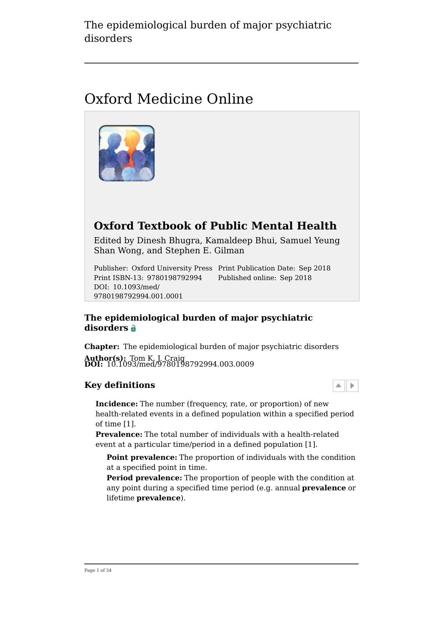# Oxford Medicine Online



## **Oxford Textbook of Public Mental Health**

Edited by Dinesh Bhugra, Kamaldeep Bhui, Samuel Yeung Shan Wong, and Stephen E. Gilman

Publisher: Oxford University Press Print Publication Date: Sep 2018 Print ISBN-13: 9780198792994 Published online: Sep 2018 DOI: 10.1093/med/ 9780198792994.001.0001

#### **The epidemiological burden of major psychiatric disorders**

**Chapter:** The epidemiological burden of major psychiatric disorders **Author(s):** Tom K. J. Craig **DOI:** 10.1093/med/9780198792994.003.0009

#### **Key definitions**

**Incidence:** The number (frequency, rate, or proportion) of new health-related events in a defined population within a specified period of time [1].

 $\blacktriangle$   $\blacktriangleright$ 

**Prevalence:** The total number of individuals with a health-related event at a particular time/period in a defined population [1].

**Point prevalence:** The proportion of individuals with the condition at a specified point in time.

**Period prevalence:** The proportion of people with the condition at any point during a specified time period (e.g. annual **prevalence** or lifetime **prevalence**).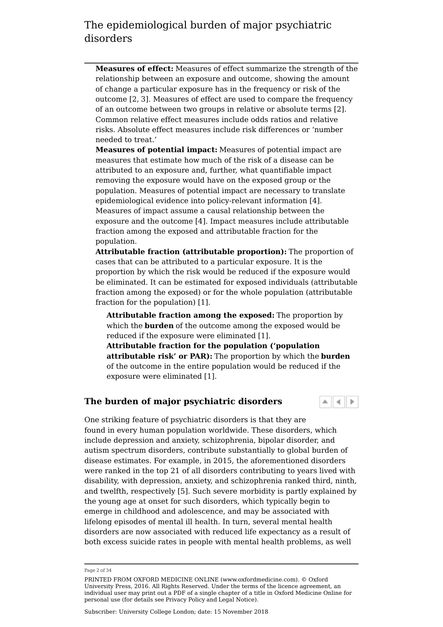**Measures of effect:** Measures of effect summarize the strength of the relationship between an exposure and outcome, showing the amount of change a particular exposure has in the frequency or risk of the outcome [2, 3]. Measures of effect are used to compare the frequency of an outcome between two groups in relative or absolute terms [2]. Common relative effect measures include odds ratios and relative risks. Absolute effect measures include risk differences or 'number needed to treat.'

**Measures of potential impact:** Measures of potential impact are measures that estimate how much of the risk of a disease can be attributed to an exposure and, further, what quantifiable impact removing the exposure would have on the exposed group or the population. Measures of potential impact are necessary to translate epidemiological evidence into policy-relevant information [4]. Measures of impact assume a causal relationship between the exposure and the outcome [4]. Impact measures include attributable fraction among the exposed and attributable fraction for the population.

**Attributable fraction (attributable proportion):** The proportion of cases that can be attributed to a particular exposure. It is the proportion by which the risk would be reduced if the exposure would be eliminated. It can be estimated for exposed individuals (attributable fraction among the exposed) or for the whole population (attributable fraction for the population) [1].

**Attributable fraction among the exposed:** The proportion by which the **burden** of the outcome among the exposed would be reduced if the exposure were eliminated [1].

**Attributable fraction for the population ('population attributable risk' or PAR):** The proportion by which the **burden** of the outcome in the entire population would be reduced if the exposure were eliminated [1].

#### **The burden of major psychiatric disorders**

One striking feature of psychiatric disorders is that they are found in every human population worldwide. These disorders, which include depression and anxiety, schizophrenia, bipolar disorder, and autism spectrum disorders, contribute substantially to global burden of disease estimates. For example, in 2015, the aforementioned disorders were ranked in the top 21 of all disorders contributing to years lived with disability, with depression, anxiety, and schizophrenia ranked third, ninth, and twelfth, respectively [5]. Such severe morbidity is partly explained by the young age at onset for such disorders, which typically begin to emerge in childhood and adolescence, and may be associated with lifelong episodes of mental ill health. In turn, several mental health disorders are now associated with reduced life expectancy as a result of both excess suicide rates in people with mental health problems, as well

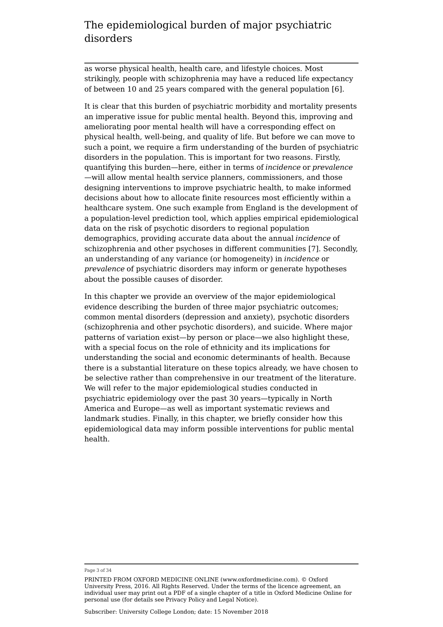as worse physical health, health care, and lifestyle choices. Most strikingly, people with schizophrenia may have a reduced life expectancy of between 10 and 25 years compared with the general population [6].

It is clear that this burden of psychiatric morbidity and mortality presents an imperative issue for public mental health. Beyond this, improving and ameliorating poor mental health will have a corresponding effect on physical health, well-being, and quality of life. But before we can move to such a point, we require a firm understanding of the burden of psychiatric disorders in the population. This is important for two reasons. Firstly, quantifying this burden—here, either in terms of *incidence* or *prevalence* —will allow mental health service planners, commissioners, and those designing interventions to improve psychiatric health, to make informed decisions about how to allocate finite resources most efficiently within a healthcare system. One such example from England is the development of a population-level prediction tool, which applies empirical epidemiological data on the risk of psychotic disorders to regional population demographics, providing accurate data about the annual *incidence* of schizophrenia and other psychoses in different communities [7]. Secondly, an understanding of any variance (or homogeneity) in *incidence* or *prevalence* of psychiatric disorders may inform or generate hypotheses about the possible causes of disorder.

In this chapter we provide an overview of the major epidemiological evidence describing the burden of three major psychiatric outcomes; common mental disorders (depression and anxiety), psychotic disorders (schizophrenia and other psychotic disorders), and suicide. Where major patterns of variation exist—by person or place—we also highlight these, with a special focus on the role of ethnicity and its implications for understanding the social and economic determinants of health. Because there is a substantial literature on these topics already, we have chosen to be selective rather than comprehensive in our treatment of the literature. We will refer to the major epidemiological studies conducted in psychiatric epidemiology over the past 30 years—typically in North America and Europe—as well as important systematic reviews and landmark studies. Finally, in this chapter, we briefly consider how this epidemiological data may inform possible interventions for public mental health.

#### Page 3 of 34

PRINTED FROM OXFORD MEDICINE ONLINE (www.oxfordmedicine.com). © Oxford University Press, 2016. All Rights Reserved. Under the terms of the licence agreement, an individual user may print out a PDF of a single chapter of a title in Oxford Medicine Online for personal use (for details see Privacy Policy and Legal Notice).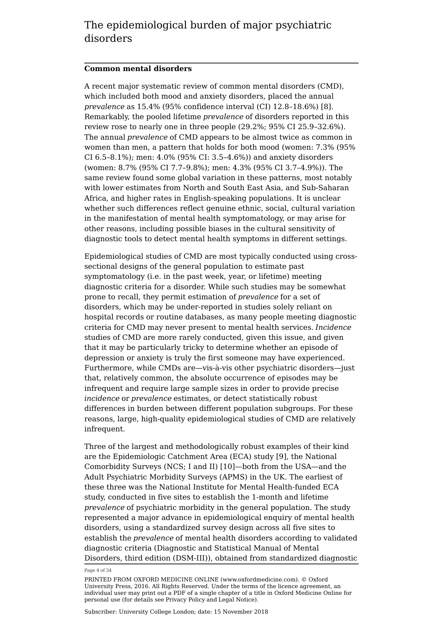#### **Common mental disorders**

A recent major systematic review of common mental disorders (CMD), which included both mood and anxiety disorders, placed the annual *prevalence* as 15.4% (95% confidence interval (CI) 12.8–18.6%) [8]. Remarkably, the pooled lifetime *prevalence* of disorders reported in this review rose to nearly one in three people (29.2%; 95% CI 25.9–32.6%). The annual *prevalence* of CMD appears to be almost twice as common in women than men, a pattern that holds for both mood (women: 7.3% (95% CI 6.5–8.1%); men: 4.0% (95% CI: 3.5–4.6%)) and anxiety disorders (women: 8.7% (95% CI 7.7–9.8%); men: 4.3% (95% CI 3.7–4.9%)). The same review found some global variation in these patterns, most notably with lower estimates from North and South East Asia, and Sub-Saharan Africa, and higher rates in English-speaking populations. It is unclear whether such differences reflect genuine ethnic, social, cultural variation in the manifestation of mental health symptomatology, or may arise for other reasons, including possible biases in the cultural sensitivity of diagnostic tools to detect mental health symptoms in different settings.

Epidemiological studies of CMD are most typically conducted using crosssectional designs of the general population to estimate past symptomatology (i.e. in the past week, year, or lifetime) meeting diagnostic criteria for a disorder. While such studies may be somewhat prone to recall, they permit estimation of *prevalence* for a set of disorders, which may be under-reported in studies solely reliant on hospital records or routine databases, as many people meeting diagnostic criteria for CMD may never present to mental health services. *Incidence* studies of CMD are more rarely conducted, given this issue, and given that it may be particularly tricky to determine whether an episode of depression or anxiety is truly the first someone may have experienced. Furthermore, while CMDs are—vis-à-vis other psychiatric disorders—just that, relatively common, the absolute occurrence of episodes may be infrequent and require large sample sizes in order to provide precise *incidence* or *prevalence* estimates, or detect statistically robust differences in burden between different population subgroups. For these reasons, large, high-quality epidemiological studies of CMD are relatively infrequent.

Three of the largest and methodologically robust examples of their kind are the Epidemiologic Catchment Area (ECA) study [9], the National Comorbidity Surveys (NCS; I and II) [10]—both from the USA—and the Adult Psychiatric Morbidity Surveys (APMS) in the UK. The earliest of these three was the National Institute for Mental Health-funded ECA study, conducted in five sites to establish the 1-month and lifetime *prevalence* of psychiatric morbidity in the general population. The study represented a major advance in epidemiological enquiry of mental health disorders, using a standardized survey design across all five sites to establish the *prevalence* of mental health disorders according to validated diagnostic criteria (Diagnostic and Statistical Manual of Mental Disorders, third edition (DSM-III)), obtained from standardized diagnostic

Page 4 of 34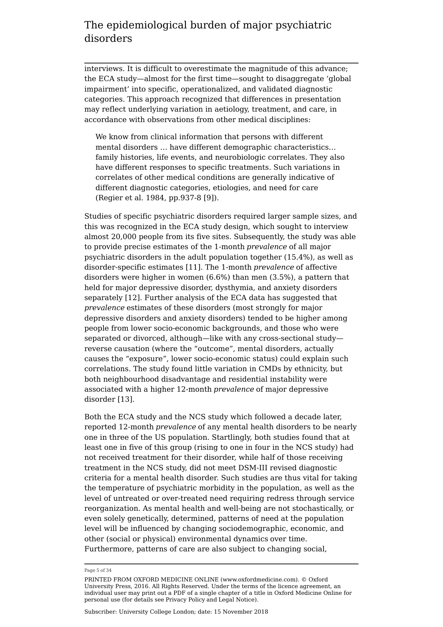interviews. It is difficult to overestimate the magnitude of this advance; the ECA study—almost for the first time—sought to disaggregate 'global impairment' into specific, operationalized, and validated diagnostic categories. This approach recognized that differences in presentation may reflect underlying variation in aetiology, treatment, and care, in accordance with observations from other medical disciplines:

We know from clinical information that persons with different mental disorders … have different demographic characteristics… family histories, life events, and neurobiologic correlates. They also have different responses to specific treatments. Such variations in correlates of other medical conditions are generally indicative of different diagnostic categories, etiologies, and need for care (Regier et al. 1984, pp.937-8 [9]).

Studies of specific psychiatric disorders required larger sample sizes, and this was recognized in the ECA study design, which sought to interview almost 20,000 people from its five sites. Subsequently, the study was able to provide precise estimates of the 1-month *prevalence* of all major psychiatric disorders in the adult population together (15.4%), as well as disorder-specific estimates [11]. The 1-month *prevalence* of affective disorders were higher in women (6.6%) than men (3.5%), a pattern that held for major depressive disorder, dysthymia, and anxiety disorders separately [12]. Further analysis of the ECA data has suggested that *prevalence* estimates of these disorders (most strongly for major depressive disorders and anxiety disorders) tended to be higher among people from lower socio-economic backgrounds, and those who were separated or divorced, although—like with any cross-sectional study reverse causation (where the "outcome", mental disorders, actually causes the "exposure", lower socio-economic status) could explain such correlations. The study found little variation in CMDs by ethnicity, but both neighbourhood disadvantage and residential instability were associated with a higher 12-month *prevalence* of major depressive disorder [13].

Both the ECA study and the NCS study which followed a decade later, reported 12-month *prevalence* of any mental health disorders to be nearly one in three of the US population. Startlingly, both studies found that at least one in five of this group (rising to one in four in the NCS study) had not received treatment for their disorder, while half of those receiving treatment in the NCS study, did not meet DSM-III revised diagnostic criteria for a mental health disorder. Such studies are thus vital for taking the temperature of psychiatric morbidity in the population, as well as the level of untreated or over-treated need requiring redress through service reorganization. As mental health and well-being are not stochastically, or even solely genetically, determined, patterns of need at the population level will be influenced by changing sociodemographic, economic, and other (social or physical) environmental dynamics over time. Furthermore, patterns of care are also subject to changing social,

Page 5 of 34

PRINTED FROM OXFORD MEDICINE ONLINE (www.oxfordmedicine.com). © Oxford University Press, 2016. All Rights Reserved. Under the terms of the licence agreement, an individual user may print out a PDF of a single chapter of a title in Oxford Medicine Online for personal use (for details see Privacy Policy and Legal Notice).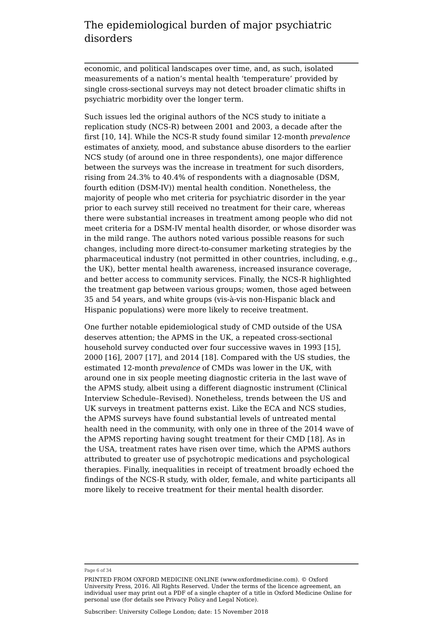economic, and political landscapes over time, and, as such, isolated measurements of a nation's mental health 'temperature' provided by single cross-sectional surveys may not detect broader climatic shifts in psychiatric morbidity over the longer term.

Such issues led the original authors of the NCS study to initiate a replication study (NCS-R) between 2001 and 2003, a decade after the first [10, 14]. While the NCS-R study found similar 12-month *prevalence* estimates of anxiety, mood, and substance abuse disorders to the earlier NCS study (of around one in three respondents), one major difference between the surveys was the increase in treatment for such disorders, rising from 24.3% to 40.4% of respondents with a diagnosable (DSM, fourth edition (DSM-IV)) mental health condition. Nonetheless, the majority of people who met criteria for psychiatric disorder in the year prior to each survey still received no treatment for their care, whereas there were substantial increases in treatment among people who did not meet criteria for a DSM-IV mental health disorder, or whose disorder was in the mild range. The authors noted various possible reasons for such changes, including more direct-to-consumer marketing strategies by the pharmaceutical industry (not permitted in other countries, including, e.g., the UK), better mental health awareness, increased insurance coverage, and better access to community services. Finally, the NCS-R highlighted the treatment gap between various groups; women, those aged between 35 and 54 years, and white groups (vis-à-vis non-Hispanic black and Hispanic populations) were more likely to receive treatment.

One further notable epidemiological study of CMD outside of the USA deserves attention; the APMS in the UK, a repeated cross-sectional household survey conducted over four successive waves in 1993 [15], 2000 [16], 2007 [17], and 2014 [18]. Compared with the US studies, the estimated 12-month *prevalence* of CMDs was lower in the UK, with around one in six people meeting diagnostic criteria in the last wave of the APMS study, albeit using a different diagnostic instrument (Clinical Interview Schedule–Revised). Nonetheless, trends between the US and UK surveys in treatment patterns exist. Like the ECA and NCS studies, the APMS surveys have found substantial levels of untreated mental health need in the community, with only one in three of the 2014 wave of the APMS reporting having sought treatment for their CMD [18]. As in the USA, treatment rates have risen over time, which the APMS authors attributed to greater use of psychotropic medications and psychological therapies. Finally, inequalities in receipt of treatment broadly echoed the findings of the NCS-R study, with older, female, and white participants all more likely to receive treatment for their mental health disorder.

Page 6 of 34

PRINTED FROM OXFORD MEDICINE ONLINE (www.oxfordmedicine.com). © Oxford University Press, 2016. All Rights Reserved. Under the terms of the licence agreement, an individual user may print out a PDF of a single chapter of a title in Oxford Medicine Online for personal use (for details see Privacy Policy and Legal Notice).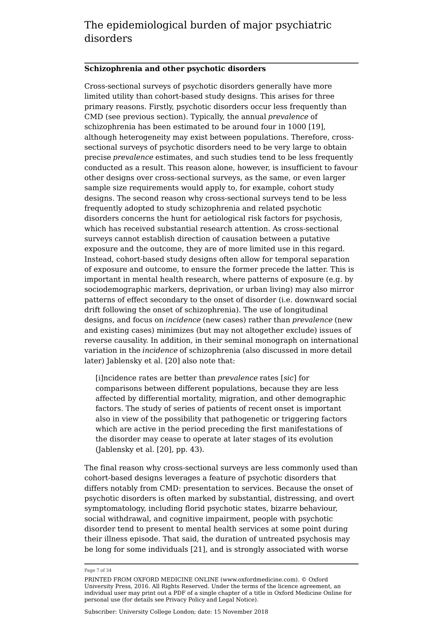#### **Schizophrenia and other psychotic disorders**

Cross-sectional surveys of psychotic disorders generally have more limited utility than cohort-based study designs. This arises for three primary reasons. Firstly, psychotic disorders occur less frequently than CMD (see previous section). Typically, the annual *prevalence* of schizophrenia has been estimated to be around four in 1000 [19], although heterogeneity may exist between populations. Therefore, crosssectional surveys of psychotic disorders need to be very large to obtain precise *prevalence* estimates, and such studies tend to be less frequently conducted as a result. This reason alone, however, is insufficient to favour other designs over cross-sectional surveys, as the same, or even larger sample size requirements would apply to, for example, cohort study designs. The second reason why cross-sectional surveys tend to be less frequently adopted to study schizophrenia and related psychotic disorders concerns the hunt for aetiological risk factors for psychosis, which has received substantial research attention. As cross-sectional surveys cannot establish direction of causation between a putative exposure and the outcome, they are of more limited use in this regard. Instead, cohort-based study designs often allow for temporal separation of exposure and outcome, to ensure the former precede the latter. This is important in mental health research, where patterns of exposure (e.g. by sociodemographic markers, deprivation, or urban living) may also mirror patterns of effect secondary to the onset of disorder (i.e. downward social drift following the onset of schizophrenia). The use of longitudinal designs, and focus on *incidence* (new cases) rather than *prevalence* (new and existing cases) minimizes (but may not altogether exclude) issues of reverse causality. In addition, in their seminal monograph on international variation in the *incidence* of schizophrenia (also discussed in more detail later) Jablensky et al. [20] also note that:

[i]ncidence rates are better than *prevalence* rates [*sic*] for comparisons between different populations, because they are less affected by differential mortality, migration, and other demographic factors. The study of series of patients of recent onset is important also in view of the possibility that pathogenetic or triggering factors which are active in the period preceding the first manifestations of the disorder may cease to operate at later stages of its evolution (Jablensky et al. [20], pp. 43).

The final reason why cross-sectional surveys are less commonly used than cohort-based designs leverages a feature of psychotic disorders that differs notably from CMD: presentation to services. Because the onset of psychotic disorders is often marked by substantial, distressing, and overt symptomatology, including florid psychotic states, bizarre behaviour, social withdrawal, and cognitive impairment, people with psychotic disorder tend to present to mental health services at some point during their illness episode. That said, the duration of untreated psychosis may be long for some individuals [21], and is strongly associated with worse

Page 7 of 34

PRINTED FROM OXFORD MEDICINE ONLINE (www.oxfordmedicine.com). © Oxford University Press, 2016. All Rights Reserved. Under the terms of the licence agreement, an individual user may print out a PDF of a single chapter of a title in Oxford Medicine Online for personal use (for details see Privacy Policy and Legal Notice).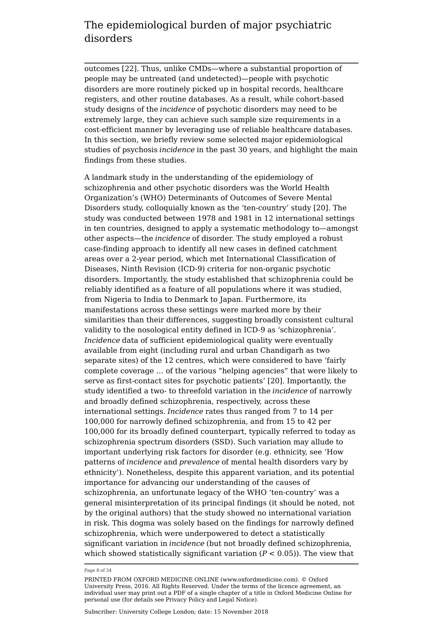outcomes [22]. Thus, unlike CMDs—where a substantial proportion of people may be untreated (and undetected)—people with psychotic disorders are more routinely picked up in hospital records, healthcare registers, and other routine databases. As a result, while cohort-based study designs of the *incidence* of psychotic disorders may need to be extremely large, they can achieve such sample size requirements in a cost-efficient manner by leveraging use of reliable healthcare databases. In this section, we briefly review some selected major epidemiological studies of psychosis *incidence* in the past 30 years, and highlight the main findings from these studies.

A landmark study in the understanding of the epidemiology of schizophrenia and other psychotic disorders was the World Health Organization's (WHO) Determinants of Outcomes of Severe Mental Disorders study, colloquially known as the 'ten-country' study [20]. The study was conducted between 1978 and 1981 in 12 international settings in ten countries, designed to apply a systematic methodology to—amongst other aspects—the *incidence* of disorder. The study employed a robust case-finding approach to identify all new cases in defined catchment areas over a 2-year period, which met International Classification of Diseases, Ninth Revision (ICD-9) criteria for non-organic psychotic disorders. Importantly, the study established that schizophrenia could be reliably identified as a feature of all populations where it was studied, from Nigeria to India to Denmark to Japan. Furthermore, its manifestations across these settings were marked more by their similarities than their differences, suggesting broadly consistent cultural validity to the nosological entity defined in ICD-9 as 'schizophrenia'. *Incidence* data of sufficient epidemiological quality were eventually available from eight (including rural and urban Chandigarh as two separate sites) of the 12 centres, which were considered to have 'fairly complete coverage … of the various "helping agencies" that were likely to serve as first-contact sites for psychotic patients' [20]. Importantly, the study identified a two- to threefold variation in the *incidence* of narrowly and broadly defined schizophrenia, respectively, across these international settings. *Incidence* rates thus ranged from 7 to 14 per 100,000 for narrowly defined schizophrenia, and from 15 to 42 per 100,000 for its broadly defined counterpart, typically referred to today as schizophrenia spectrum disorders (SSD). Such variation may allude to important underlying risk factors for disorder (e.g. ethnicity, see 'How patterns of *incidence* and *prevalence* of mental health disorders vary by ethnicity'). Nonetheless, despite this apparent variation, and its potential importance for advancing our understanding of the causes of schizophrenia, an unfortunate legacy of the WHO 'ten-country' was a general misinterpretation of its principal findings (it should be noted, not by the original authors) that the study showed no international variation in risk. This dogma was solely based on the findings for narrowly defined schizophrenia, which were underpowered to detect a statistically significant variation in *incidence* (but not broadly defined schizophrenia, which showed statistically significant variation  $(P < 0.05)$ ). The view that

Page 8 of 34

PRINTED FROM OXFORD MEDICINE ONLINE (www.oxfordmedicine.com). © Oxford University Press, 2016. All Rights Reserved. Under the terms of the licence agreement, an individual user may print out a PDF of a single chapter of a title in Oxford Medicine Online for personal use (for details see Privacy Policy and Legal Notice).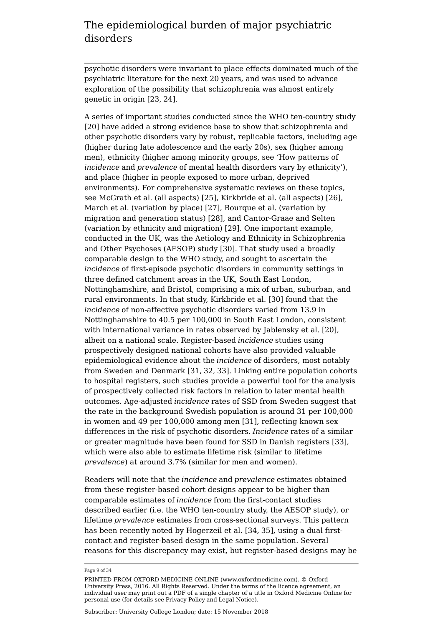psychotic disorders were invariant to place effects dominated much of the psychiatric literature for the next 20 years, and was used to advance exploration of the possibility that schizophrenia was almost entirely genetic in origin [23, 24].

A series of important studies conducted since the WHO ten-country study [20] have added a strong evidence base to show that schizophrenia and other psychotic disorders vary by robust, replicable factors, including age (higher during late adolescence and the early 20s), sex (higher among men), ethnicity (higher among minority groups, see 'How patterns of *incidence* and *prevalence* of mental health disorders vary by ethnicity'), and place (higher in people exposed to more urban, deprived environments). For comprehensive systematic reviews on these topics, see McGrath et al. (all aspects) [25], Kirkbride et al. (all aspects) [26], March et al. (variation by place) [27], Bourque et al. (variation by migration and generation status) [28], and Cantor-Graae and Selten (variation by ethnicity and migration) [29]. One important example, conducted in the UK, was the Aetiology and Ethnicity in Schizophrenia and Other Psychoses (AESOP) study [30]. That study used a broadly comparable design to the WHO study, and sought to ascertain the *incidence* of first-episode psychotic disorders in community settings in three defined catchment areas in the UK, South East London, Nottinghamshire, and Bristol, comprising a mix of urban, suburban, and rural environments. In that study, Kirkbride et al. [30] found that the *incidence* of non-affective psychotic disorders varied from 13.9 in Nottinghamshire to 40.5 per 100,000 in South East London, consistent with international variance in rates observed by Jablensky et al. [20], albeit on a national scale. Register-based *incidence* studies using prospectively designed national cohorts have also provided valuable epidemiological evidence about the *incidence* of disorders, most notably from Sweden and Denmark [31, 32, 33]. Linking entire population cohorts to hospital registers, such studies provide a powerful tool for the analysis of prospectively collected risk factors in relation to later mental health outcomes. Age-adjusted *incidence* rates of SSD from Sweden suggest that the rate in the background Swedish population is around 31 per 100,000 in women and 49 per 100,000 among men [31], reflecting known sex differences in the risk of psychotic disorders. *Incidence* rates of a similar or greater magnitude have been found for SSD in Danish registers [33], which were also able to estimate lifetime risk (similar to lifetime *prevalence*) at around 3.7% (similar for men and women).

Readers will note that the *incidence* and *prevalence* estimates obtained from these register-based cohort designs appear to be higher than comparable estimates of *incidence* from the first-contact studies described earlier (i.e. the WHO ten-country study, the AESOP study), or lifetime *prevalence* estimates from cross-sectional surveys. This pattern has been recently noted by Hogerzeil et al. [34, 35], using a dual firstcontact and register-based design in the same population. Several reasons for this discrepancy may exist, but register-based designs may be

Page 9 of 34

PRINTED FROM OXFORD MEDICINE ONLINE (www.oxfordmedicine.com). © Oxford University Press, 2016. All Rights Reserved. Under the terms of the licence agreement, an individual user may print out a PDF of a single chapter of a title in Oxford Medicine Online for personal use (for details see Privacy Policy and Legal Notice).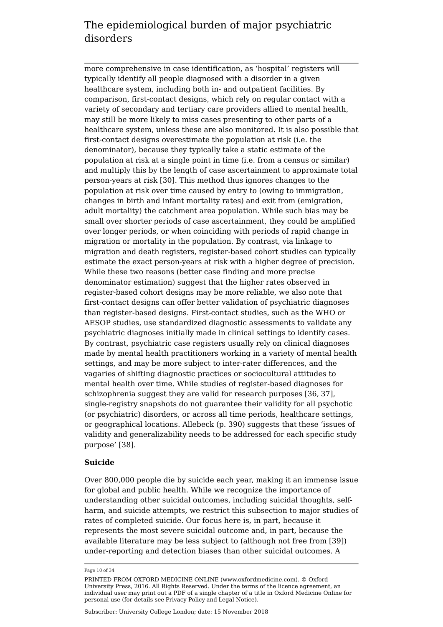more comprehensive in case identification, as 'hospital' registers will typically identify all people diagnosed with a disorder in a given healthcare system, including both in- and outpatient facilities. By comparison, first-contact designs, which rely on regular contact with a variety of secondary and tertiary care providers allied to mental health, may still be more likely to miss cases presenting to other parts of a healthcare system, unless these are also monitored. It is also possible that first-contact designs overestimate the population at risk (i.e. the denominator), because they typically take a static estimate of the population at risk at a single point in time (i.e. from a census or similar) and multiply this by the length of case ascertainment to approximate total person-years at risk [30]. This method thus ignores changes to the population at risk over time caused by entry to (owing to immigration, changes in birth and infant mortality rates) and exit from (emigration, adult mortality) the catchment area population. While such bias may be small over shorter periods of case ascertainment, they could be amplified over longer periods, or when coinciding with periods of rapid change in migration or mortality in the population. By contrast, via linkage to migration and death registers, register-based cohort studies can typically estimate the exact person-years at risk with a higher degree of precision. While these two reasons (better case finding and more precise denominator estimation) suggest that the higher rates observed in register-based cohort designs may be more reliable, we also note that first-contact designs can offer better validation of psychiatric diagnoses than register-based designs. First-contact studies, such as the WHO or AESOP studies, use standardized diagnostic assessments to validate any psychiatric diagnoses initially made in clinical settings to identify cases. By contrast, psychiatric case registers usually rely on clinical diagnoses made by mental health practitioners working in a variety of mental health settings, and may be more subject to inter-rater differences, and the vagaries of shifting diagnostic practices or sociocultural attitudes to mental health over time. While studies of register-based diagnoses for schizophrenia suggest they are valid for research purposes [36, 37], single-registry snapshots do not guarantee their validity for all psychotic (or psychiatric) disorders, or across all time periods, healthcare settings, or geographical locations. Allebeck (p. 390) suggests that these 'issues of validity and generalizability needs to be addressed for each specific study purpose' [38].

#### **Suicide**

Over 800,000 people die by suicide each year, making it an immense issue for global and public health. While we recognize the importance of understanding other suicidal outcomes, including suicidal thoughts, selfharm, and suicide attempts, we restrict this subsection to major studies of rates of completed suicide. Our focus here is, in part, because it represents the most severe suicidal outcome and, in part, because the available literature may be less subject to (although not free from [39]) under-reporting and detection biases than other suicidal outcomes. A

Page 10 of 34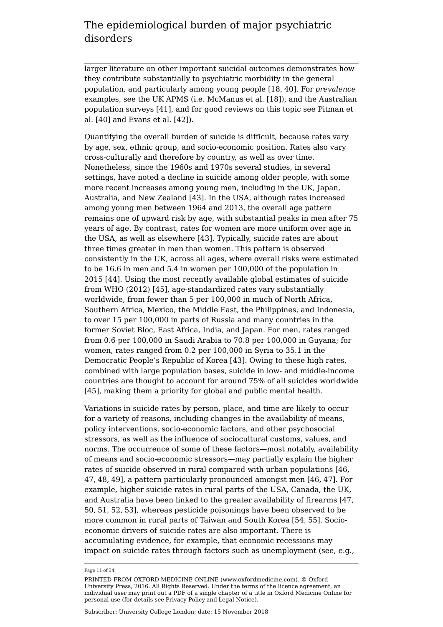larger literature on other important suicidal outcomes demonstrates how they contribute substantially to psychiatric morbidity in the general population, and particularly among young people [18, 40]. For *prevalence* examples, see the UK APMS (i.e. McManus et al. [18]), and the Australian population surveys [41], and for good reviews on this topic see Pitman et al. [40] and Evans et al. [42]).

Quantifying the overall burden of suicide is difficult, because rates vary by age, sex, ethnic group, and socio-economic position. Rates also vary cross-culturally and therefore by country, as well as over time. Nonetheless, since the 1960s and 1970s several studies, in several settings, have noted a decline in suicide among older people, with some more recent increases among young men, including in the UK, Japan, Australia, and New Zealand [43]. In the USA, although rates increased among young men between 1964 and 2013, the overall age pattern remains one of upward risk by age, with substantial peaks in men after 75 years of age. By contrast, rates for women are more uniform over age in the USA, as well as elsewhere [43]. Typically, suicide rates are about three times greater in men than women. This pattern is observed consistently in the UK, across all ages, where overall risks were estimated to be 16.6 in men and 5.4 in women per 100,000 of the population in 2015 [44]. Using the most recently available global estimates of suicide from WHO (2012) [45], age-standardized rates vary substantially worldwide, from fewer than 5 per 100,000 in much of North Africa, Southern Africa, Mexico, the Middle East, the Philippines, and Indonesia, to over 15 per 100,000 in parts of Russia and many countries in the former Soviet Bloc, East Africa, India, and Japan. For men, rates ranged from 0.6 per 100,000 in Saudi Arabia to 70.8 per 100,000 in Guyana; for women, rates ranged from 0.2 per 100,000 in Syria to 35.1 in the Democratic People's Republic of Korea [43]. Owing to these high rates, combined with large population bases, suicide in low- and middle-income countries are thought to account for around 75% of all suicides worldwide [45], making them a priority for global and public mental health.

Variations in suicide rates by person, place, and time are likely to occur for a variety of reasons, including changes in the availability of means, policy interventions, socio-economic factors, and other psychosocial stressors, as well as the influence of sociocultural customs, values, and norms. The occurrence of some of these factors—most notably, availability of means and socio-economic stressors—may partially explain the higher rates of suicide observed in rural compared with urban populations [46, 47, 48, 49], a pattern particularly pronounced amongst men [46, 47]. For example, higher suicide rates in rural parts of the USA, Canada, the UK, and Australia have been linked to the greater availability of firearms [47, 50, 51, 52, 53], whereas pesticide poisonings have been observed to be more common in rural parts of Taiwan and South Korea [54, 55]. Socioeconomic drivers of suicide rates are also important. There is accumulating evidence, for example, that economic recessions may impact on suicide rates through factors such as unemployment (see, e.g.,

Page 11 of 34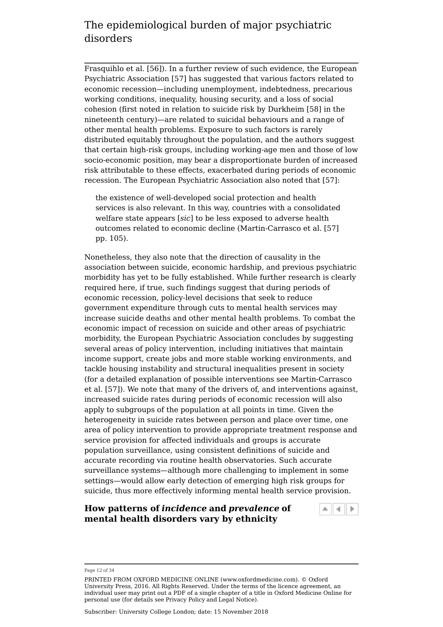Frasquihlo et al. [56]). In a further review of such evidence, the European Psychiatric Association [57] has suggested that various factors related to economic recession—including unemployment, indebtedness, precarious working conditions, inequality, housing security, and a loss of social cohesion (first noted in relation to suicide risk by Durkheim [58] in the nineteenth century)—are related to suicidal behaviours and a range of other mental health problems. Exposure to such factors is rarely distributed equitably throughout the population, and the authors suggest that certain high-risk groups, including working-age men and those of low socio-economic position, may bear a disproportionate burden of increased risk attributable to these effects, exacerbated during periods of economic recession. The European Psychiatric Association also noted that [57]:

the existence of well-developed social protection and health services is also relevant. In this way, countries with a consolidated welfare state appears [*sic*] to be less exposed to adverse health outcomes related to economic decline (Martin-Carrasco et al. [57] pp. 105).

Nonetheless, they also note that the direction of causality in the association between suicide, economic hardship, and previous psychiatric morbidity has yet to be fully established. While further research is clearly required here, if true, such findings suggest that during periods of economic recession, policy-level decisions that seek to reduce government expenditure through cuts to mental health services may increase suicide deaths and other mental health problems. To combat the economic impact of recession on suicide and other areas of psychiatric morbidity, the European Psychiatric Association concludes by suggesting several areas of policy intervention, including initiatives that maintain income support, create jobs and more stable working environments, and tackle housing instability and structural inequalities present in society (for a detailed explanation of possible interventions see Martin-Carrasco et al. [57]). We note that many of the drivers of, and interventions against, increased suicide rates during periods of economic recession will also apply to subgroups of the population at all points in time. Given the heterogeneity in suicide rates between person and place over time, one area of policy intervention to provide appropriate treatment response and service provision for affected individuals and groups is accurate population surveillance, using consistent definitions of suicide and accurate recording via routine health observatories. Such accurate surveillance systems—although more challenging to implement in some settings—would allow early detection of emerging high risk groups for suicide, thus more effectively informing mental health service provision.

#### **How patterns of** *incidence* **and** *prevalence* **of mental health disorders vary by ethnicity**



Page 12 of 34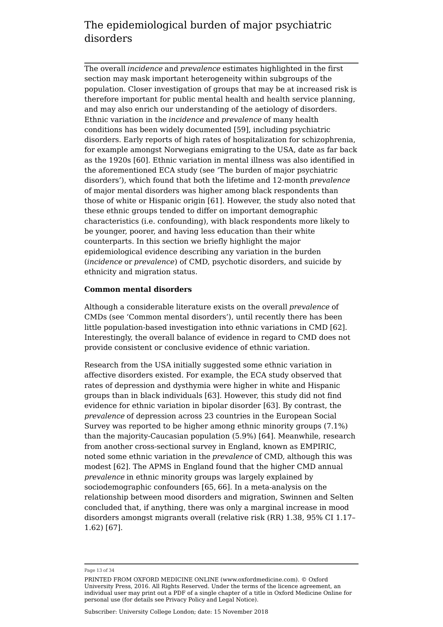The overall *incidence* and *prevalence* estimates highlighted in the first section may mask important heterogeneity within subgroups of the population. Closer investigation of groups that may be at increased risk is therefore important for public mental health and health service planning, and may also enrich our understanding of the aetiology of disorders. Ethnic variation in the *incidence* and *prevalence* of many health conditions has been widely documented [59], including psychiatric disorders. Early reports of high rates of hospitalization for schizophrenia, for example amongst Norwegians emigrating to the USA, date as far back as the 1920s [60]. Ethnic variation in mental illness was also identified in the aforementioned ECA study (see 'The burden of major psychiatric disorders'), which found that both the lifetime and 12-month *prevalence* of major mental disorders was higher among black respondents than those of white or Hispanic origin [61]. However, the study also noted that these ethnic groups tended to differ on important demographic characteristics (i.e. confounding), with black respondents more likely to be younger, poorer, and having less education than their white counterparts. In this section we briefly highlight the major epidemiological evidence describing any variation in the burden (*incidence* or *prevalence*) of CMD, psychotic disorders, and suicide by ethnicity and migration status.

#### **Common mental disorders**

Although a considerable literature exists on the overall *prevalence* of CMDs (see 'Common mental disorders'), until recently there has been little population-based investigation into ethnic variations in CMD [62]. Interestingly, the overall balance of evidence in regard to CMD does not provide consistent or conclusive evidence of ethnic variation.

Research from the USA initially suggested some ethnic variation in affective disorders existed. For example, the ECA study observed that rates of depression and dysthymia were higher in white and Hispanic groups than in black individuals [63]. However, this study did not find evidence for ethnic variation in bipolar disorder [63]. By contrast, the *prevalence* of depression across 23 countries in the European Social Survey was reported to be higher among ethnic minority groups (7.1%) than the majority-Caucasian population (5.9%) [64]. Meanwhile, research from another cross-sectional survey in England, known as EMPIRIC, noted some ethnic variation in the *prevalence* of CMD, although this was modest [62]. The APMS in England found that the higher CMD annual *prevalence* in ethnic minority groups was largely explained by sociodemographic confounders [65, 66]. In a meta-analysis on the relationship between mood disorders and migration, Swinnen and Selten concluded that, if anything, there was only a marginal increase in mood disorders amongst migrants overall (relative risk (RR) 1.38, 95% CI 1.17– 1.62) [67].

Page 13 of 34

PRINTED FROM OXFORD MEDICINE ONLINE (www.oxfordmedicine.com). © Oxford University Press, 2016. All Rights Reserved. Under the terms of the licence agreement, an individual user may print out a PDF of a single chapter of a title in Oxford Medicine Online for personal use (for details see Privacy Policy and Legal Notice).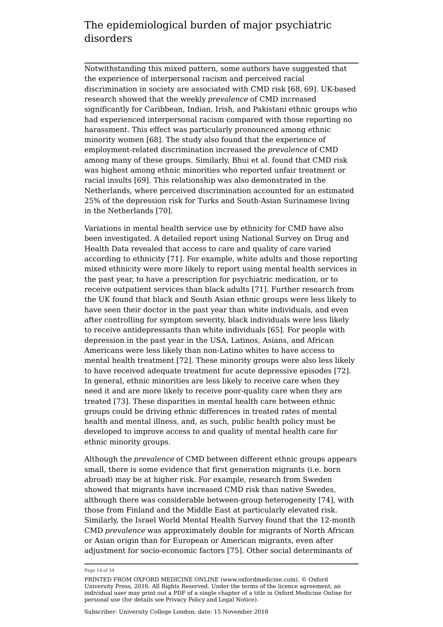Notwithstanding this mixed pattern, some authors have suggested that the experience of interpersonal racism and perceived racial discrimination in society are associated with CMD risk [68, 69]. UK-based research showed that the weekly *prevalence* of CMD increased significantly for Caribbean, Indian, Irish, and Pakistani ethnic groups who had experienced interpersonal racism compared with those reporting no harassment. This effect was particularly pronounced among ethnic minority women [68]. The study also found that the experience of employment-related discrimination increased the *prevalence* of CMD among many of these groups. Similarly, Bhui et al. found that CMD risk was highest among ethnic minorities who reported unfair treatment or racial insults [69]. This relationship was also demonstrated in the Netherlands, where perceived discrimination accounted for an estimated 25% of the depression risk for Turks and South-Asian Surinamese living in the Netherlands [70].

Variations in mental health service use by ethnicity for CMD have also been investigated. A detailed report using National Survey on Drug and Health Data revealed that access to care and quality of care varied according to ethnicity [71]. For example, white adults and those reporting mixed ethnicity were more likely to report using mental health services in the past year, to have a prescription for psychiatric medication, or to receive outpatient services than black adults [71]. Further research from the UK found that black and South Asian ethnic groups were less likely to have seen their doctor in the past year than white individuals, and even after controlling for symptom severity, black individuals were less likely to receive antidepressants than white individuals [65]. For people with depression in the past year in the USA, Latinos, Asians, and African Americans were less likely than non-Latino whites to have access to mental health treatment [72]. These minority groups were also less likely to have received adequate treatment for acute depressive episodes [72]. In general, ethnic minorities are less likely to receive care when they need it and are more likely to receive poor-quality care when they are treated [73]. These disparities in mental health care between ethnic groups could be driving ethnic differences in treated rates of mental health and mental illness, and, as such, public health policy must be developed to improve access to and quality of mental health care for ethnic minority groups.

Although the *prevalence* of CMD between different ethnic groups appears small, there is some evidence that first generation migrants (i.e. born abroad) may be at higher risk. For example, research from Sweden showed that migrants have increased CMD risk than native Swedes, although there was considerable between-group heterogeneity [74], with those from Finland and the Middle East at particularly elevated risk. Similarly, the Israel World Mental Health Survey found that the 12-month CMD *prevalence* was approximately double for migrants of North African or Asian origin than for European or American migrants, even after adjustment for socio-economic factors [75]. Other social determinants of

Page 14 of 34

PRINTED FROM OXFORD MEDICINE ONLINE (www.oxfordmedicine.com). © Oxford University Press, 2016. All Rights Reserved. Under the terms of the licence agreement, an individual user may print out a PDF of a single chapter of a title in Oxford Medicine Online for personal use (for details see Privacy Policy and Legal Notice).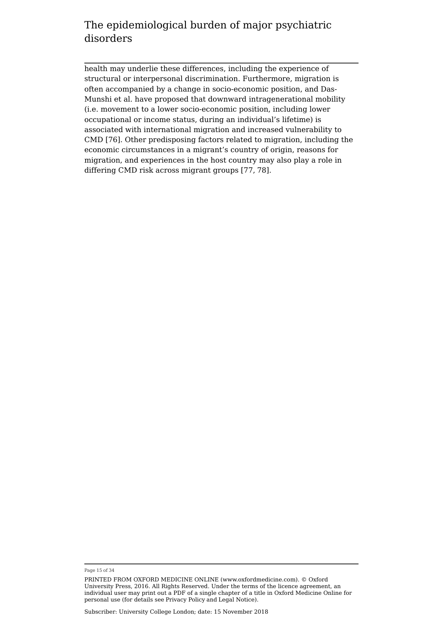health may underlie these differences, including the experience of structural or interpersonal discrimination. Furthermore, migration is often accompanied by a change in socio-economic position, and Das-Munshi et al. have proposed that downward intragenerational mobility (i.e. movement to a lower socio-economic position, including lower occupational or income status, during an individual's lifetime) is associated with international migration and increased vulnerability to CMD [76]. Other predisposing factors related to migration, including the economic circumstances in a migrant's country of origin, reasons for migration, and experiences in the host country may also play a role in differing CMD risk across migrant groups [77, 78].

Page 15 of 34

PRINTED FROM OXFORD MEDICINE ONLINE (www.oxfordmedicine.com). © Oxford University Press, 2016. All Rights Reserved. Under the terms of the licence agreement, an individual user may print out a PDF of a single chapter of a title in Oxford Medicine Online for personal use (for details see Privacy Policy and Legal Notice).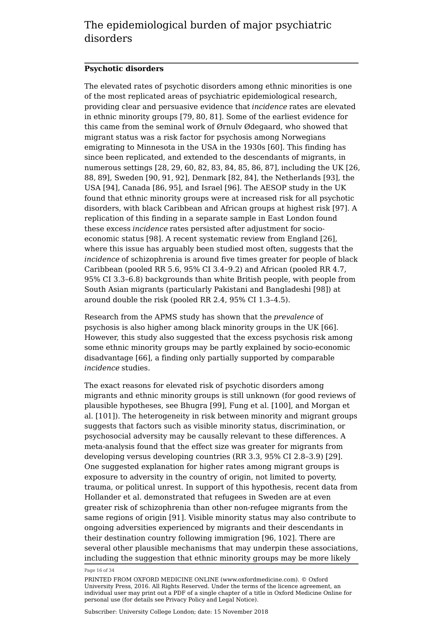#### **Psychotic disorders**

The elevated rates of psychotic disorders among ethnic minorities is one of the most replicated areas of psychiatric epidemiological research, providing clear and persuasive evidence that *incidence* rates are elevated in ethnic minority groups [79, 80, 81]. Some of the earliest evidence for this came from the seminal work of Ørnulv Ødegaard, who showed that migrant status was a risk factor for psychosis among Norwegians emigrating to Minnesota in the USA in the 1930s [60]. This finding has since been replicated, and extended to the descendants of migrants, in numerous settings [28, 29, 60, 82, 83, 84, 85, 86, 87], including the UK [26, 88, 89], Sweden [90, 91, 92], Denmark [82, 84], the Netherlands [93], the USA [94], Canada [86, 95], and Israel [96]. The AESOP study in the UK found that ethnic minority groups were at increased risk for all psychotic disorders, with black Caribbean and African groups at highest risk [97]. A replication of this finding in a separate sample in East London found these excess *incidence* rates persisted after adjustment for socioeconomic status [98]. A recent systematic review from England [26], where this issue has arguably been studied most often, suggests that the *incidence* of schizophrenia is around five times greater for people of black Caribbean (pooled RR 5.6, 95% CI 3.4–9.2) and African (pooled RR 4.7, 95% CI 3.3–6.8) backgrounds than white British people, with people from South Asian migrants (particularly Pakistani and Bangladeshi [98]) at around double the risk (pooled RR 2.4, 95% CI 1.3–4.5).

Research from the APMS study has shown that the *prevalence* of psychosis is also higher among black minority groups in the UK [66]. However, this study also suggested that the excess psychosis risk among some ethnic minority groups may be partly explained by socio-economic disadvantage [66], a finding only partially supported by comparable *incidence* studies.

The exact reasons for elevated risk of psychotic disorders among migrants and ethnic minority groups is still unknown (for good reviews of plausible hypotheses, see Bhugra [99], Fung et al. [100], and Morgan et al. [101]). The heterogeneity in risk between minority and migrant groups suggests that factors such as visible minority status, discrimination, or psychosocial adversity may be causally relevant to these differences. A meta-analysis found that the effect size was greater for migrants from developing versus developing countries (RR 3.3, 95% CI 2.8–3.9) [29]. One suggested explanation for higher rates among migrant groups is exposure to adversity in the country of origin, not limited to poverty, trauma, or political unrest. In support of this hypothesis, recent data from Hollander et al. demonstrated that refugees in Sweden are at even greater risk of schizophrenia than other non-refugee migrants from the same regions of origin [91]. Visible minority status may also contribute to ongoing adversities experienced by migrants and their descendants in their destination country following immigration [96, 102]. There are several other plausible mechanisms that may underpin these associations, including the suggestion that ethnic minority groups may be more likely

Page 16 of 34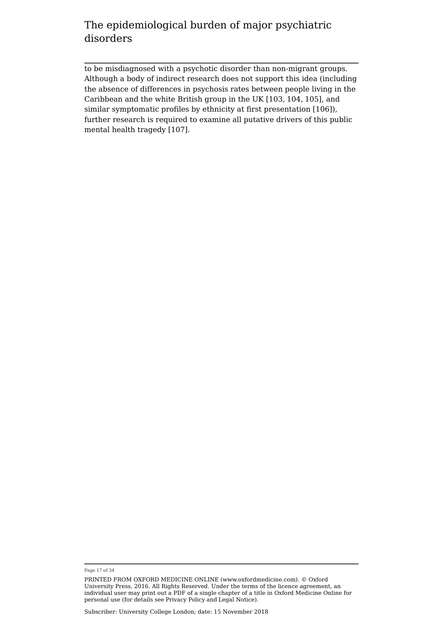to be misdiagnosed with a psychotic disorder than non-migrant groups. Although a body of indirect research does not support this idea (including the absence of differences in psychosis rates between people living in the Caribbean and the white British group in the UK [103, 104, 105], and similar symptomatic profiles by ethnicity at first presentation [106]), further research is required to examine all putative drivers of this public mental health tragedy [107].

Page 17 of 34

PRINTED FROM OXFORD MEDICINE ONLINE (www.oxfordmedicine.com). © Oxford University Press, 2016. All Rights Reserved. Under the terms of the licence agreement, an individual user may print out a PDF of a single chapter of a title in Oxford Medicine Online for personal use (for details see Privacy Policy and Legal Notice).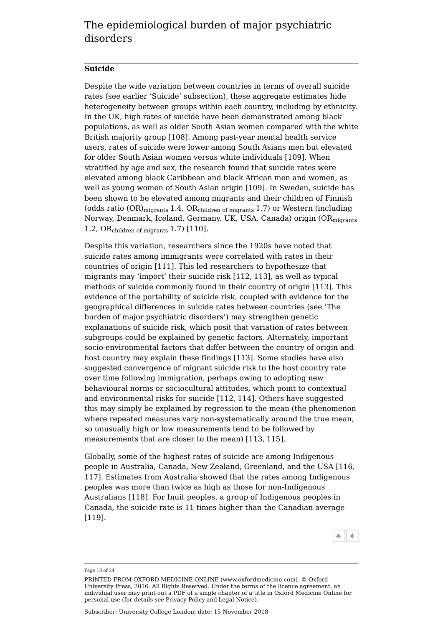#### **Suicide**

Despite the wide variation between countries in terms of overall suicide rates (see earlier 'Suicide' subsection), these aggregate estimates hide heterogeneity between groups within each country, including by ethnicity. In the UK, high rates of suicide have been demonstrated among black populations, as well as older South Asian women compared with the white British majority group [108]. Among past-year mental health service users, rates of suicide were lower among South Asians men but elevated for older South Asian women versus white individuals [109]. When stratified by age and sex, the research found that suicide rates were elevated among black Caribbean and black African men and women, as well as young women of South Asian origin [109]. In Sweden, suicide has been shown to be elevated among migrants and their children of Finnish (odds ratio (OR) $_{\rm migrants}$  1.4, OR $_{\rm children \ of \ migrants}$  1.7) or Western (including Norway, Denmark, Iceland, Germany, UK, USA, Canada) origin (OR<sub>migrants</sub> 1.2, O $\rm R_{children\ of\ migrants}$  1.7) [110].

Despite this variation, researchers since the 1920s have noted that suicide rates among immigrants were correlated with rates in their countries of origin [111]. This led researchers to hypothesize that migrants may 'import' their suicide risk [112, 113], as well as typical methods of suicide commonly found in their country of origin [113]. This evidence of the portability of suicide risk, coupled with evidence for the geographical differences in suicide rates between countries (see 'The burden of major psychiatric disorders') may strengthen genetic explanations of suicide risk, which posit that variation of rates between subgroups could be explained by genetic factors. Alternately, important socio-environmental factors that differ between the country of origin and host country may explain these findings [113]. Some studies have also suggested convergence of migrant suicide risk to the host country rate over time following immigration, perhaps owing to adopting new behavioural norms or sociocultural attitudes, which point to contextual and environmental risks for suicide [112, 114]. Others have suggested this may simply be explained by regression to the mean (the phenomenon where repeated measures vary non-systematically around the true mean, so unusually high or low measurements tend to be followed by measurements that are closer to the mean) [113, 115].

Globally, some of the highest rates of suicide are among Indigenous people in Australia, Canada, New Zealand, Greenland, and the USA [116, 117]. Estimates from Australia showed that the rates among Indigenous peoples was more than twice as high as those for non-Indigenous Australians [118]. For Inuit peoples, a group of Indigenous peoples in Canada, the suicide rate is 11 times higher than the Canadian average [119].



#### Page 18 of 34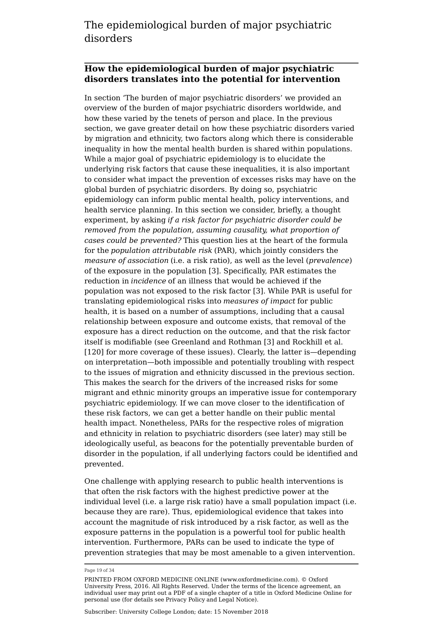#### **How the epidemiological burden of major psychiatric disorders translates into the potential for intervention**

In section 'The burden of major psychiatric disorders' we provided an overview of the burden of major psychiatric disorders worldwide, and how these varied by the tenets of person and place. In the previous section, we gave greater detail on how these psychiatric disorders varied by migration and ethnicity, two factors along which there is considerable inequality in how the mental health burden is shared within populations. While a major goal of psychiatric epidemiology is to elucidate the underlying risk factors that cause these inequalities, it is also important to consider what impact the prevention of excesses risks may have on the global burden of psychiatric disorders. By doing so, psychiatric epidemiology can inform public mental health, policy interventions, and health service planning. In this section we consider, briefly, a thought experiment, by asking *if a risk factor for psychiatric disorder could be removed from the population, assuming causality, what proportion of cases could be prevented?* This question lies at the heart of the formula for the *population attributable risk* (PAR), which jointly considers the *measure of association* (i.e. a risk ratio), as well as the level (*prevalence*) of the exposure in the population [3]. Specifically, PAR estimates the reduction in *incidence* of an illness that would be achieved if the population was not exposed to the risk factor [3]. While PAR is useful for translating epidemiological risks into *measures of impact* for public health, it is based on a number of assumptions, including that a causal relationship between exposure and outcome exists, that removal of the exposure has a direct reduction on the outcome, and that the risk factor itself is modifiable (see Greenland and Rothman [3] and Rockhill et al. [120] for more coverage of these issues). Clearly, the latter is—depending on interpretation—both impossible and potentially troubling with respect to the issues of migration and ethnicity discussed in the previous section. This makes the search for the drivers of the increased risks for some migrant and ethnic minority groups an imperative issue for contemporary psychiatric epidemiology. If we can move closer to the identification of these risk factors, we can get a better handle on their public mental health impact. Nonetheless, PARs for the respective roles of migration and ethnicity in relation to psychiatric disorders (see later) may still be ideologically useful, as beacons for the potentially preventable burden of disorder in the population, if all underlying factors could be identified and prevented.

One challenge with applying research to public health interventions is that often the risk factors with the highest predictive power at the individual level (i.e. a large risk ratio) have a small population impact (i.e. because they are rare). Thus, epidemiological evidence that takes into account the magnitude of risk introduced by a risk factor, as well as the exposure patterns in the population is a powerful tool for public health intervention. Furthermore, PARs can be used to indicate the type of prevention strategies that may be most amenable to a given intervention.

Page 19 of 34

PRINTED FROM OXFORD MEDICINE ONLINE (www.oxfordmedicine.com). © Oxford University Press, 2016. All Rights Reserved. Under the terms of the licence agreement, an individual user may print out a PDF of a single chapter of a title in Oxford Medicine Online for personal use (for details see Privacy Policy and Legal Notice).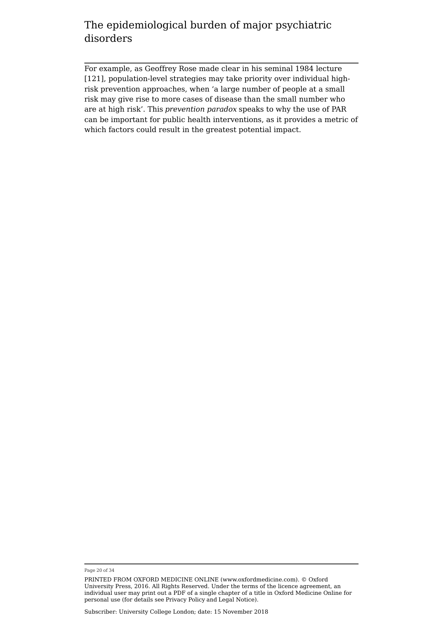For example, as Geoffrey Rose made clear in his seminal 1984 lecture [121], population-level strategies may take priority over individual highrisk prevention approaches, when 'a large number of people at a small risk may give rise to more cases of disease than the small number who are at high risk'. This *prevention paradox* speaks to why the use of PAR can be important for public health interventions, as it provides a metric of which factors could result in the greatest potential impact.

Page 20 of 34

PRINTED FROM OXFORD MEDICINE ONLINE (www.oxfordmedicine.com). © Oxford University Press, 2016. All Rights Reserved. Under the terms of the licence agreement, an individual user may print out a PDF of a single chapter of a title in Oxford Medicine Online for personal use (for details see Privacy Policy and Legal Notice).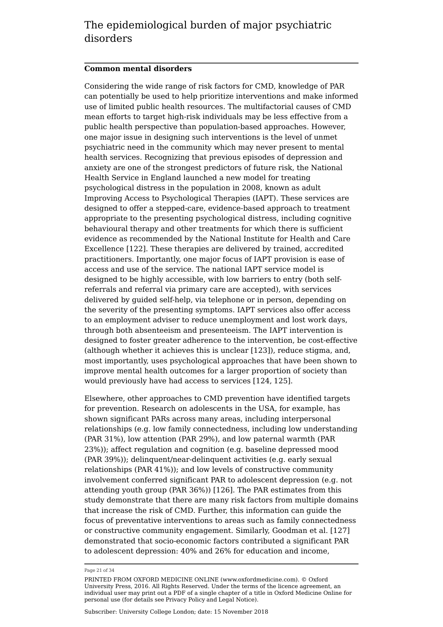#### **Common mental disorders**

Considering the wide range of risk factors for CMD, knowledge of PAR can potentially be used to help prioritize interventions and make informed use of limited public health resources. The multifactorial causes of CMD mean efforts to target high-risk individuals may be less effective from a public health perspective than population-based approaches. However, one major issue in designing such interventions is the level of unmet psychiatric need in the community which may never present to mental health services. Recognizing that previous episodes of depression and anxiety are one of the strongest predictors of future risk, the National Health Service in England launched a new model for treating psychological distress in the population in 2008, known as adult Improving Access to Psychological Therapies (IAPT). These services are designed to offer a stepped-care, evidence-based approach to treatment appropriate to the presenting psychological distress, including cognitive behavioural therapy and other treatments for which there is sufficient evidence as recommended by the National Institute for Health and Care Excellence [122]. These therapies are delivered by trained, accredited practitioners. Importantly, one major focus of IAPT provision is ease of access and use of the service. The national IAPT service model is designed to be highly accessible, with low barriers to entry (both selfreferrals and referral via primary care are accepted), with services delivered by guided self-help, via telephone or in person, depending on the severity of the presenting symptoms. IAPT services also offer access to an employment adviser to reduce unemployment and lost work days, through both absenteeism and presenteeism. The IAPT intervention is designed to foster greater adherence to the intervention, be cost-effective (although whether it achieves this is unclear [123]), reduce stigma, and, most importantly, uses psychological approaches that have been shown to improve mental health outcomes for a larger proportion of society than would previously have had access to services [124, 125].

Elsewhere, other approaches to CMD prevention have identified targets for prevention. Research on adolescents in the USA, for example, has shown significant PARs across many areas, including interpersonal relationships (e.g. low family connectedness, including low understanding (PAR 31%), low attention (PAR 29%), and low paternal warmth (PAR 23%)); affect regulation and cognition (e.g. baseline depressed mood (PAR 39%)); delinquent/near-delinquent activities (e.g. early sexual relationships (PAR 41%)); and low levels of constructive community involvement conferred significant PAR to adolescent depression (e.g. not attending youth group (PAR 36%)) [126]. The PAR estimates from this study demonstrate that there are many risk factors from multiple domains that increase the risk of CMD. Further, this information can guide the focus of preventative interventions to areas such as family connectedness or constructive community engagement. Similarly, Goodman et al. [127] demonstrated that socio-economic factors contributed a significant PAR to adolescent depression: 40% and 26% for education and income,

Page 21 of 34

PRINTED FROM OXFORD MEDICINE ONLINE (www.oxfordmedicine.com). © Oxford University Press, 2016. All Rights Reserved. Under the terms of the licence agreement, an individual user may print out a PDF of a single chapter of a title in Oxford Medicine Online for personal use (for details see Privacy Policy and Legal Notice).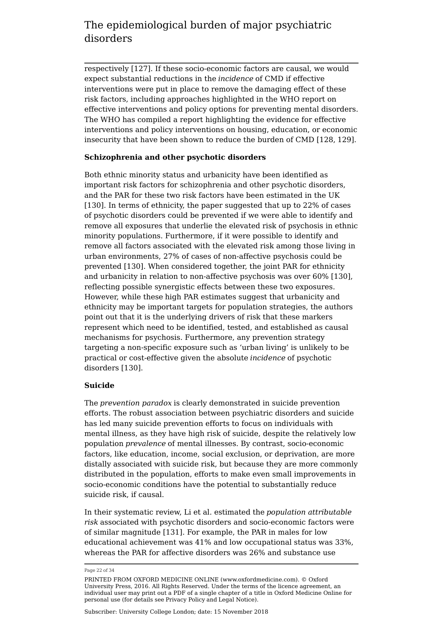respectively [127]. If these socio-economic factors are causal, we would expect substantial reductions in the *incidence* of CMD if effective interventions were put in place to remove the damaging effect of these risk factors, including approaches highlighted in the WHO report on effective interventions and policy options for preventing mental disorders. The WHO has compiled a report highlighting the evidence for effective interventions and policy interventions on housing, education, or economic insecurity that have been shown to reduce the burden of CMD [128, 129].

#### **Schizophrenia and other psychotic disorders**

Both ethnic minority status and urbanicity have been identified as important risk factors for schizophrenia and other psychotic disorders, and the PAR for these two risk factors have been estimated in the UK [130]. In terms of ethnicity, the paper suggested that up to 22% of cases of psychotic disorders could be prevented if we were able to identify and remove all exposures that underlie the elevated risk of psychosis in ethnic minority populations. Furthermore, if it were possible to identify and remove all factors associated with the elevated risk among those living in urban environments, 27% of cases of non-affective psychosis could be prevented [130]. When considered together, the joint PAR for ethnicity and urbanicity in relation to non-affective psychosis was over 60% [130], reflecting possible synergistic effects between these two exposures. However, while these high PAR estimates suggest that urbanicity and ethnicity may be important targets for population strategies, the authors point out that it is the underlying drivers of risk that these markers represent which need to be identified, tested, and established as causal mechanisms for psychosis. Furthermore, any prevention strategy targeting a non-specific exposure such as 'urban living' is unlikely to be practical or cost-effective given the absolute *incidence* of psychotic disorders [130].

#### **Suicide**

The *prevention paradox* is clearly demonstrated in suicide prevention efforts. The robust association between psychiatric disorders and suicide has led many suicide prevention efforts to focus on individuals with mental illness, as they have high risk of suicide, despite the relatively low population *prevalence* of mental illnesses. By contrast, socio-economic factors, like education, income, social exclusion, or deprivation, are more distally associated with suicide risk, but because they are more commonly distributed in the population, efforts to make even small improvements in socio-economic conditions have the potential to substantially reduce suicide risk, if causal.

In their systematic review, Li et al. estimated the *population attributable risk* associated with psychotic disorders and socio-economic factors were of similar magnitude [131]. For example, the PAR in males for low educational achievement was 41% and low occupational status was 33%, whereas the PAR for affective disorders was 26% and substance use

Page 22 of 34

PRINTED FROM OXFORD MEDICINE ONLINE (www.oxfordmedicine.com). © Oxford University Press, 2016. All Rights Reserved. Under the terms of the licence agreement, an individual user may print out a PDF of a single chapter of a title in Oxford Medicine Online for personal use (for details see Privacy Policy and Legal Notice).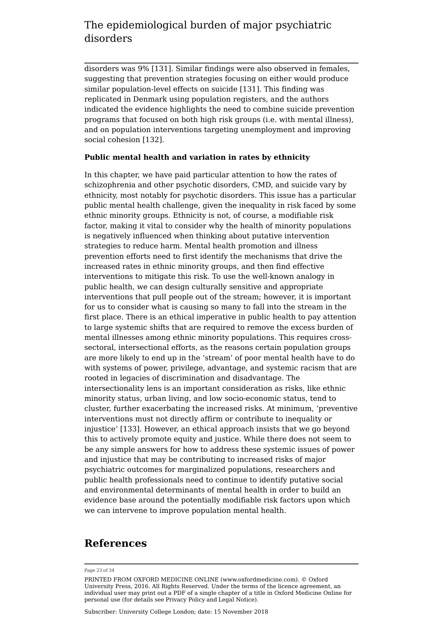disorders was 9% [131]. Similar findings were also observed in females, suggesting that prevention strategies focusing on either would produce similar population-level effects on suicide [131]. This finding was replicated in Denmark using population registers, and the authors indicated the evidence highlights the need to combine suicide prevention programs that focused on both high risk groups (i.e. with mental illness), and on population interventions targeting unemployment and improving social cohesion [132].

#### **Public mental health and variation in rates by ethnicity**

In this chapter, we have paid particular attention to how the rates of schizophrenia and other psychotic disorders, CMD, and suicide vary by ethnicity, most notably for psychotic disorders. This issue has a particular public mental health challenge, given the inequality in risk faced by some ethnic minority groups. Ethnicity is not, of course, a modifiable risk factor, making it vital to consider why the health of minority populations is negatively influenced when thinking about putative intervention strategies to reduce harm. Mental health promotion and illness prevention efforts need to first identify the mechanisms that drive the increased rates in ethnic minority groups, and then find effective interventions to mitigate this risk. To use the well-known analogy in public health, we can design culturally sensitive and appropriate interventions that pull people out of the stream; however, it is important for us to consider what is causing so many to fall into the stream in the first place. There is an ethical imperative in public health to pay attention to large systemic shifts that are required to remove the excess burden of mental illnesses among ethnic minority populations. This requires crosssectoral, intersectional efforts, as the reasons certain population groups are more likely to end up in the 'stream' of poor mental health have to do with systems of power, privilege, advantage, and systemic racism that are rooted in legacies of discrimination and disadvantage. The intersectionality lens is an important consideration as risks, like ethnic minority status, urban living, and low socio-economic status, tend to cluster, further exacerbating the increased risks. At minimum, 'preventive interventions must not directly affirm or contribute to inequality or injustice' [133]. However, an ethical approach insists that we go beyond this to actively promote equity and justice. While there does not seem to be any simple answers for how to address these systemic issues of power and injustice that may be contributing to increased risks of major psychiatric outcomes for marginalized populations, researchers and public health professionals need to continue to identify putative social and environmental determinants of mental health in order to build an evidence base around the potentially modifiable risk factors upon which we can intervene to improve population mental health.

#### **References**

#### Page 23 of 34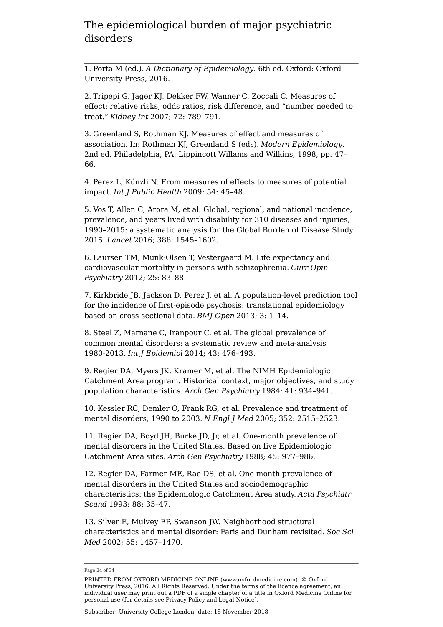1. Porta M (ed.). *A Dictionary of Epidemiology*. 6th ed. Oxford: Oxford University Press, 2016.

2. Tripepi G, Jager KJ, Dekker FW, Wanner C, Zoccali C. Measures of effect: relative risks, odds ratios, risk difference, and "number needed to treat." *Kidney Int* 2007; 72: 789–791.

3. Greenland S, Rothman KJ. Measures of effect and measures of association. In: Rothman KJ, Greenland S (eds). *Modern Epidemiology*. 2nd ed. Philadelphia, PA: Lippincott Willams and Wilkins, 1998, pp. 47– 66.

4. Perez L, Künzli N. From measures of effects to measures of potential impact. *Int J Public Health* 2009; 54: 45–48.

5. Vos T, Allen C, Arora M, et al. Global, regional, and national incidence, prevalence, and years lived with disability for 310 diseases and injuries, 1990–2015: a systematic analysis for the Global Burden of Disease Study 2015. *Lancet* 2016; 388: 1545–1602.

6. Laursen TM, Munk-Olsen T, Vestergaard M. Life expectancy and cardiovascular mortality in persons with schizophrenia. *Curr Opin Psychiatry* 2012; 25: 83–88.

7. Kirkbride JB, Jackson D, Perez J, et al. A population-level prediction tool for the incidence of first-episode psychosis: translational epidemiology based on cross-sectional data. *BMJ Open* 2013; 3: 1–14.

8. Steel Z, Marnane C, Iranpour C, et al. The global prevalence of common mental disorders: a systematic review and meta-analysis 1980-2013. *Int J Epidemiol* 2014; 43: 476–493.

9. Regier DA, Myers JK, Kramer M, et al. The NIMH Epidemiologic Catchment Area program. Historical context, major objectives, and study population characteristics. *Arch Gen Psychiatry* 1984; 41: 934–941.

10. Kessler RC, Demler O, Frank RG, et al. Prevalence and treatment of mental disorders, 1990 to 2003. *N Engl J Med* 2005; 352: 2515–2523.

11. Regier DA, Boyd JH, Burke JD, Jr, et al. One-month prevalence of mental disorders in the United States. Based on five Epidemiologic Catchment Area sites. *Arch Gen Psychiatry* 1988; 45: 977–986.

12. Regier DA, Farmer ME, Rae DS, et al. One-month prevalence of mental disorders in the United States and sociodemographic characteristics: the Epidemiologic Catchment Area study. *Acta Psychiatr Scand* 1993; 88: 35–47.

13. Silver E, Mulvey EP, Swanson JW. Neighborhood structural characteristics and mental disorder: Faris and Dunham revisited. *Soc Sci Med* 2002; 55: 1457–1470.

Page 24 of 34

PRINTED FROM OXFORD MEDICINE ONLINE (www.oxfordmedicine.com). © Oxford University Press, 2016. All Rights Reserved. Under the terms of the licence agreement, an individual user may print out a PDF of a single chapter of a title in Oxford Medicine Online for personal use (for details see Privacy Policy and Legal Notice).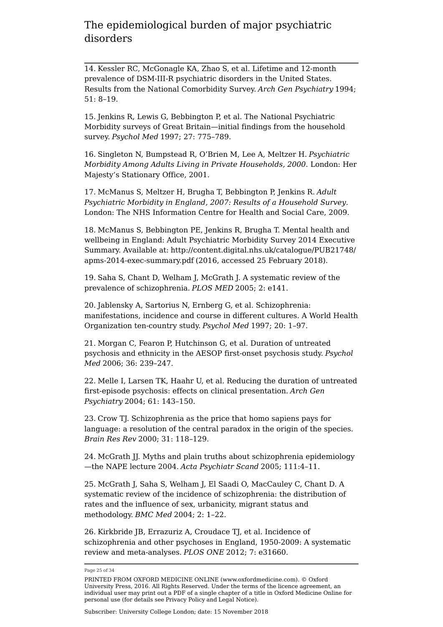14. Kessler RC, McGonagle KA, Zhao S, et al. Lifetime and 12-month prevalence of DSM-III-R psychiatric disorders in the United States. Results from the National Comorbidity Survey. *Arch Gen Psychiatry* 1994; 51: 8–19.

15. Jenkins R, Lewis G, Bebbington P, et al. The National Psychiatric Morbidity surveys of Great Britain—initial findings from the household survey. *Psychol Med* 1997; 27: 775–789.

16. Singleton N, Bumpstead R, O'Brien M, Lee A, Meltzer H. *Psychiatric Morbidity Among Adults Living in Private Households, 2000*. London: Her Majesty's Stationary Office, 2001.

17. McManus S, Meltzer H, Brugha T, Bebbington P, Jenkins R. *Adult Psychiatric Morbidity in England, 2007: Results of a Household Survey*. London: The NHS Information Centre for Health and Social Care, 2009.

18. McManus S, Bebbington PE, Jenkins R, Brugha T. Mental health and wellbeing in England: Adult Psychiatric Morbidity Survey 2014 Executive Summary. Available at: http://content.digital.nhs.uk/catalogue/PUB21748/ apms-2014-exec-summary.pdf (2016, accessed 25 February 2018).

19. Saha S, Chant D, Welham J, McGrath J. A systematic review of the prevalence of schizophrenia. *PLOS MED* 2005; 2: e141.

20. Jablensky A, Sartorius N, Ernberg G, et al. Schizophrenia: manifestations, incidence and course in different cultures. A World Health Organization ten-country study. *Psychol Med* 1997; 20: 1–97.

21. Morgan C, Fearon P, Hutchinson G, et al. Duration of untreated psychosis and ethnicity in the AESOP first-onset psychosis study. *Psychol Med* 2006; 36: 239–247.

22. Melle I, Larsen TK, Haahr U, et al. Reducing the duration of untreated first-episode psychosis: effects on clinical presentation. *Arch Gen Psychiatry* 2004; 61: 143–150.

23. Crow TJ. Schizophrenia as the price that homo sapiens pays for language: a resolution of the central paradox in the origin of the species. *Brain Res Rev* 2000; 31: 118–129.

24. McGrath JJ. Myths and plain truths about schizophrenia epidemiology —the NAPE lecture 2004. *Acta Psychiatr Scand* 2005; 111:4–11.

25. McGrath J, Saha S, Welham J, El Saadi O, MacCauley C, Chant D. A systematic review of the incidence of schizophrenia: the distribution of rates and the influence of sex, urbanicity, migrant status and methodology. *BMC Med* 2004; 2: 1–22.

26. Kirkbride JB, Errazuriz A, Croudace TJ, et al. Incidence of schizophrenia and other psychoses in England, 1950-2009: A systematic review and meta-analyses. *PLOS ONE* 2012; 7: e31660.

Page 25 of 34

PRINTED FROM OXFORD MEDICINE ONLINE (www.oxfordmedicine.com). © Oxford University Press, 2016. All Rights Reserved. Under the terms of the licence agreement, an individual user may print out a PDF of a single chapter of a title in Oxford Medicine Online for personal use (for details see Privacy Policy and Legal Notice).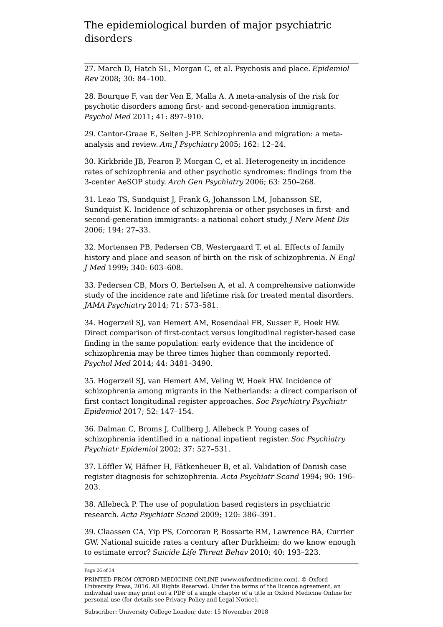27. March D, Hatch SL, Morgan C, et al. Psychosis and place. *Epidemiol Rev* 2008; 30: 84–100.

28. Bourque F, van der Ven E, Malla A. A meta-analysis of the risk for psychotic disorders among first- and second-generation immigrants. *Psychol Med* 2011; 41: 897–910.

29. Cantor-Graae E, Selten J-PP. Schizophrenia and migration: a metaanalysis and review. *Am J Psychiatry* 2005; 162: 12–24.

30. Kirkbride JB, Fearon P, Morgan C, et al. Heterogeneity in incidence rates of schizophrenia and other psychotic syndromes: findings from the 3-center AeSOP study. *Arch Gen Psychiatry* 2006; 63: 250–268.

31. Leao TS, Sundquist J, Frank G, Johansson LM, Johansson SE, Sundquist K. Incidence of schizophrenia or other psychoses in first- and second-generation immigrants: a national cohort study. *J Nerv Ment Dis* 2006; 194: 27–33.

32. Mortensen PB, Pedersen CB, Westergaard T, et al. Effects of family history and place and season of birth on the risk of schizophrenia. *N Engl J Med* 1999; 340: 603–608.

33. Pedersen CB, Mors O, Bertelsen A, et al. A comprehensive nationwide study of the incidence rate and lifetime risk for treated mental disorders. *JAMA Psychiatry* 2014; 71: 573–581.

34. Hogerzeil SJ, van Hemert AM, Rosendaal FR, Susser E, Hoek HW. Direct comparison of first-contact versus longitudinal register-based case finding in the same population: early evidence that the incidence of schizophrenia may be three times higher than commonly reported. *Psychol Med* 2014; 44: 3481–3490.

35. Hogerzeil SJ, van Hemert AM, Veling W, Hoek HW. Incidence of schizophrenia among migrants in the Netherlands: a direct comparison of first contact longitudinal register approaches. *Soc Psychiatry Psychiatr Epidemiol* 2017; 52: 147–154.

36. Dalman C, Broms J, Cullberg J, Allebeck P. Young cases of schizophrenia identified in a national inpatient register. *Soc Psychiatry Psychiatr Epidemiol* 2002; 37: 527–531.

37. Löffler W, Häfner H, Fätkenheuer B, et al. Validation of Danish case register diagnosis for schizophrenia. *Acta Psychiatr Scand* 1994; 90: 196– 203.

38. Allebeck P. The use of population based registers in psychiatric research. *Acta Psychiatr Scand* 2009; 120: 386–391.

39. Claassen CA, Yip PS, Corcoran P, Bossarte RM, Lawrence BA, Currier GW. National suicide rates a century after Durkheim: do we know enough to estimate error? *Suicide Life Threat Behav* 2010; 40: 193–223.

Page 26 of 34

PRINTED FROM OXFORD MEDICINE ONLINE (www.oxfordmedicine.com). © Oxford University Press, 2016. All Rights Reserved. Under the terms of the licence agreement, an individual user may print out a PDF of a single chapter of a title in Oxford Medicine Online for personal use (for details see Privacy Policy and Legal Notice).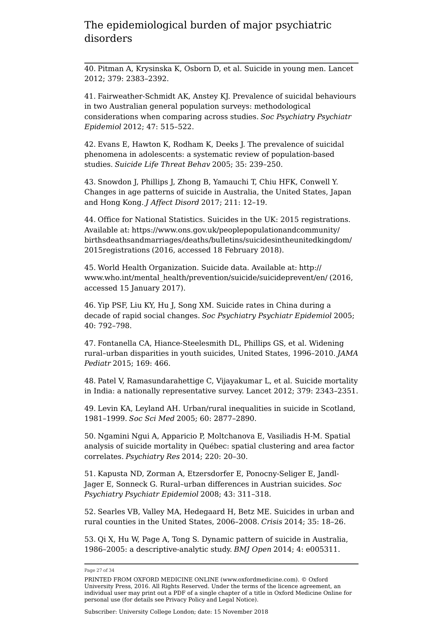40. Pitman A, Krysinska K, Osborn D, et al. Suicide in young men. Lancet 2012; 379: 2383–2392.

41. Fairweather-Schmidt AK, Anstey KJ. Prevalence of suicidal behaviours in two Australian general population surveys: methodological considerations when comparing across studies. *Soc Psychiatry Psychiatr Epidemiol* 2012; 47: 515–522.

42. Evans E, Hawton K, Rodham K, Deeks J. The prevalence of suicidal phenomena in adolescents: a systematic review of population-based studies. *Suicide Life Threat Behav* 2005; 35: 239–250.

43. Snowdon J, Phillips J, Zhong B, Yamauchi T, Chiu HFK, Conwell Y. Changes in age patterns of suicide in Australia, the United States, Japan and Hong Kong. *J Affect Disord* 2017; 211: 12–19.

44. Office for National Statistics. Suicides in the UK: 2015 registrations. Available at: https://www.ons.gov.uk/peoplepopulationandcommunity/ birthsdeathsandmarriages/deaths/bulletins/suicidesintheunitedkingdom/ 2015registrations (2016, accessed 18 February 2018).

45. World Health Organization. Suicide data. Available at: http:// www.who.int/mental\_health/prevention/suicide/suicideprevent/en/ (2016, accessed 15 January 2017).

46. Yip PSF, Liu KY, Hu J, Song XM. Suicide rates in China during a decade of rapid social changes. *Soc Psychiatry Psychiatr Epidemiol* 2005; 40: 792–798.

47. Fontanella CA, Hiance-Steelesmith DL, Phillips GS, et al. Widening rural–urban disparities in youth suicides, United States, 1996–2010. *JAMA Pediatr* 2015; 169: 466.

48. Patel V, Ramasundarahettige C, Vijayakumar L, et al. Suicide mortality in India: a nationally representative survey. Lancet 2012; 379: 2343–2351.

49. Levin KA, Leyland AH. Urban/rural inequalities in suicide in Scotland, 1981–1999. *Soc Sci Med* 2005; 60: 2877–2890.

50. Ngamini Ngui A, Apparicio P, Moltchanova E, Vasiliadis H-M. Spatial analysis of suicide mortality in Québec: spatial clustering and area factor correlates. *Psychiatry Res* 2014; 220: 20–30.

51. Kapusta ND, Zorman A, Etzersdorfer E, Ponocny-Seliger E, Jandl-Jager E, Sonneck G. Rural–urban differences in Austrian suicides. *Soc Psychiatry Psychiatr Epidemiol* 2008; 43: 311–318.

52. Searles VB, Valley MA, Hedegaard H, Betz ME. Suicides in urban and rural counties in the United States, 2006–2008. *Crisis* 2014; 35: 18–26.

53. Qi X, Hu W, Page A, Tong S. Dynamic pattern of suicide in Australia, 1986–2005: a descriptive-analytic study. *BMJ Open* 2014; 4: e005311.

Page 27 of 34

PRINTED FROM OXFORD MEDICINE ONLINE (www.oxfordmedicine.com). © Oxford University Press, 2016. All Rights Reserved. Under the terms of the licence agreement, an individual user may print out a PDF of a single chapter of a title in Oxford Medicine Online for personal use (for details see Privacy Policy and Legal Notice).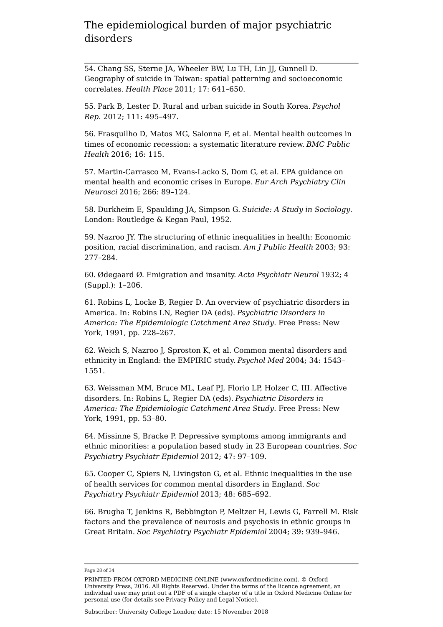54. Chang SS, Sterne JA, Wheeler BW, Lu TH, Lin JJ, Gunnell D. Geography of suicide in Taiwan: spatial patterning and socioeconomic correlates. *Health Place* 2011; 17: 641–650.

55. Park B, Lester D. Rural and urban suicide in South Korea. *Psychol Rep*. 2012; 111: 495–497.

56. Frasquilho D, Matos MG, Salonna F, et al. Mental health outcomes in times of economic recession: a systematic literature review. *BMC Public Health* 2016; 16: 115.

57. Martin-Carrasco M, Evans-Lacko S, Dom G, et al. EPA guidance on mental health and economic crises in Europe. *Eur Arch Psychiatry Clin Neurosci* 2016; 266: 89–124.

58. Durkheim E, Spaulding JA, Simpson G. *Suicide: A Study in Sociology*. London: Routledge & Kegan Paul, 1952.

59. Nazroo JY. The structuring of ethnic inequalities in health: Economic position, racial discrimination, and racism. *Am J Public Health* 2003; 93: 277–284.

60. Ødegaard Ø. Emigration and insanity. *Acta Psychiatr Neurol* 1932; 4 (Suppl.): 1–206.

61. Robins L, Locke B, Regier D. An overview of psychiatric disorders in America. In: Robins LN, Regier DA (eds). *Psychiatric Disorders in America: The Epidemiologic Catchment Area Study*. Free Press: New York, 1991, pp. 228–267.

62. Weich S, Nazroo J, Sproston K, et al. Common mental disorders and ethnicity in England: the EMPIRIC study. *Psychol Med* 2004; 34: 1543– 1551.

63. Weissman MM, Bruce ML, Leaf PJ, Florio LP, Holzer C, III. Affective disorders. In: Robins L, Regier DA (eds). *Psychiatric Disorders in America: The Epidemiologic Catchment Area Study*. Free Press: New York, 1991, pp. 53–80.

64. Missinne S, Bracke P. Depressive symptoms among immigrants and ethnic minorities: a population based study in 23 European countries. *Soc Psychiatry Psychiatr Epidemiol* 2012; 47: 97–109.

65. Cooper C, Spiers N, Livingston G, et al. Ethnic inequalities in the use of health services for common mental disorders in England. *Soc Psychiatry Psychiatr Epidemiol* 2013; 48: 685–692.

66. Brugha T, Jenkins R, Bebbington P, Meltzer H, Lewis G, Farrell M. Risk factors and the prevalence of neurosis and psychosis in ethnic groups in Great Britain. *Soc Psychiatry Psychiatr Epidemiol* 2004; 39: 939–946.

Page 28 of 34

PRINTED FROM OXFORD MEDICINE ONLINE (www.oxfordmedicine.com). © Oxford University Press, 2016. All Rights Reserved. Under the terms of the licence agreement, an individual user may print out a PDF of a single chapter of a title in Oxford Medicine Online for personal use (for details see Privacy Policy and Legal Notice).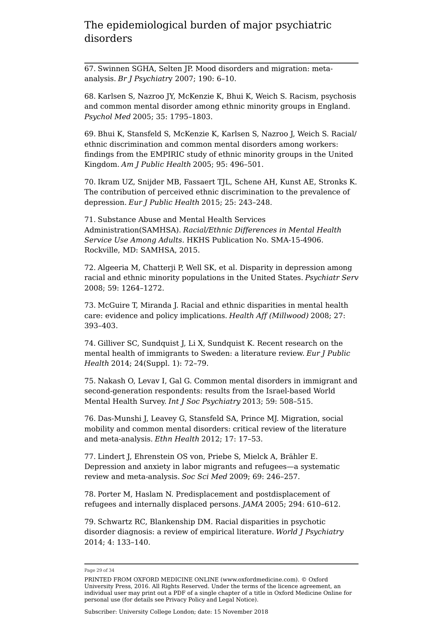67. Swinnen SGHA, Selten JP. Mood disorders and migration: metaanalysis. *Br J Psychiatr*y 2007; 190: 6–10.

68. Karlsen S, Nazroo JY, McKenzie K, Bhui K, Weich S. Racism, psychosis and common mental disorder among ethnic minority groups in England. *Psychol Med* 2005; 35: 1795–1803.

69. Bhui K, Stansfeld S, McKenzie K, Karlsen S, Nazroo J, Weich S. Racial/ ethnic discrimination and common mental disorders among workers: findings from the EMPIRIC study of ethnic minority groups in the United Kingdom. *Am J Public Health* 2005; 95: 496–501.

70. Ikram UZ, Snijder MB, Fassaert TJL, Schene AH, Kunst AE, Stronks K. The contribution of perceived ethnic discrimination to the prevalence of depression. *Eur J Public Health* 2015; 25: 243–248.

71. Substance Abuse and Mental Health Services Administration(SAMHSA). *Racial/Ethnic Differences in Mental Health Service Use Among Adults*. HKHS Publication No. SMA-15-4906. Rockville, MD: SAMHSA, 2015.

72. Algeeria M, Chatterji P, Well SK, et al. Disparity in depression among racial and ethnic minority populations in the United States. *Psychiatr Serv* 2008; 59: 1264–1272.

73. McGuire T, Miranda J. Racial and ethnic disparities in mental health care: evidence and policy implications. *Health Aff (Millwood)* 2008; 27: 393–403.

74. Gilliver SC, Sundquist J, Li X, Sundquist K. Recent research on the mental health of immigrants to Sweden: a literature review. *Eur J Public Health* 2014; 24(Suppl. 1): 72–79.

75. Nakash O, Levav I, Gal G. Common mental disorders in immigrant and second-generation respondents: results from the Israel-based World Mental Health Survey. *Int J Soc Psychiatry* 2013; 59: 508–515.

76. Das-Munshi J, Leavey G, Stansfeld SA, Prince MJ. Migration, social mobility and common mental disorders: critical review of the literature and meta-analysis. *Ethn Health* 2012; 17: 17–53.

77. Lindert J, Ehrenstein OS von, Priebe S, Mielck A, Brähler E. Depression and anxiety in labor migrants and refugees—a systematic review and meta-analysis. *Soc Sci Med* 2009; 69: 246–257.

78. Porter M, Haslam N. Predisplacement and postdisplacement of refugees and internally displaced persons. *JAMA* 2005; 294: 610–612.

79. Schwartz RC, Blankenship DM. Racial disparities in psychotic disorder diagnosis: a review of empirical literature. *World J Psychiatry* 2014; 4: 133–140.

Page 29 of 34

PRINTED FROM OXFORD MEDICINE ONLINE (www.oxfordmedicine.com). © Oxford University Press, 2016. All Rights Reserved. Under the terms of the licence agreement, an individual user may print out a PDF of a single chapter of a title in Oxford Medicine Online for personal use (for details see Privacy Policy and Legal Notice).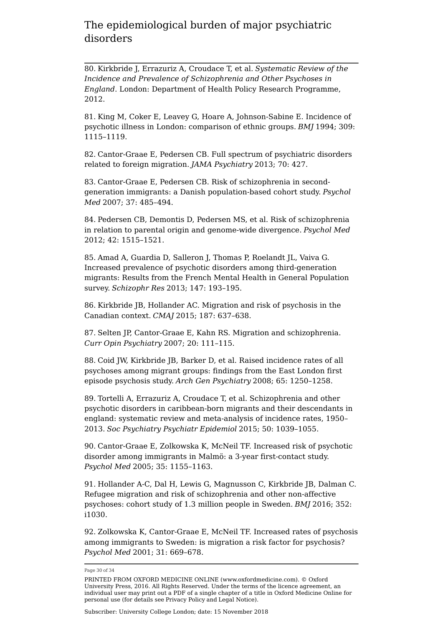80. Kirkbride J, Errazuriz A, Croudace T, et al. *Systematic Review of the Incidence and Prevalence of Schizophrenia and Other Psychoses in England*. London: Department of Health Policy Research Programme, 2012.

81. King M, Coker E, Leavey G, Hoare A, Johnson-Sabine E. Incidence of psychotic illness in London: comparison of ethnic groups. *BMJ* 1994; 309: 1115–1119.

82. Cantor-Graae E, Pedersen CB. Full spectrum of psychiatric disorders related to foreign migration. *JAMA Psychiatry* 2013; 70: 427.

83. Cantor-Graae E, Pedersen CB. Risk of schizophrenia in secondgeneration immigrants: a Danish population-based cohort study. *Psychol Med* 2007; 37: 485–494.

84. Pedersen CB, Demontis D, Pedersen MS, et al. Risk of schizophrenia in relation to parental origin and genome-wide divergence. *Psychol Med* 2012; 42: 1515–1521.

85. Amad A, Guardia D, Salleron J, Thomas P, Roelandt JL, Vaiva G. Increased prevalence of psychotic disorders among third-generation migrants: Results from the French Mental Health in General Population survey. *Schizophr Res* 2013; 147: 193–195.

86. Kirkbride JB, Hollander AC. Migration and risk of psychosis in the Canadian context. *CMAJ* 2015; 187: 637–638.

87. Selten JP, Cantor-Graae E, Kahn RS. Migration and schizophrenia. *Curr Opin Psychiatry* 2007; 20: 111–115.

88. Coid JW, Kirkbride JB, Barker D, et al. Raised incidence rates of all psychoses among migrant groups: findings from the East London first episode psychosis study. *Arch Gen Psychiatry* 2008; 65: 1250–1258.

89. Tortelli A, Errazuriz A, Croudace T, et al. Schizophrenia and other psychotic disorders in caribbean-born migrants and their descendants in england: systematic review and meta-analysis of incidence rates, 1950– 2013. *Soc Psychiatry Psychiatr Epidemiol* 2015; 50: 1039–1055.

90. Cantor-Graae E, Zolkowska K, McNeil TF. Increased risk of psychotic disorder among immigrants in Malmö: a 3-year first-contact study. *Psychol Med* 2005; 35: 1155–1163.

91. Hollander A-C, Dal H, Lewis G, Magnusson C, Kirkbride JB, Dalman C. Refugee migration and risk of schizophrenia and other non-affective psychoses: cohort study of 1.3 million people in Sweden. *BMJ* 2016; 352: i1030.

92. Zolkowska K, Cantor-Graae E, McNeil TF. Increased rates of psychosis among immigrants to Sweden: is migration a risk factor for psychosis? *Psychol Med* 2001; 31: 669–678.

Page 30 of 34

PRINTED FROM OXFORD MEDICINE ONLINE (www.oxfordmedicine.com). © Oxford University Press, 2016. All Rights Reserved. Under the terms of the licence agreement, an individual user may print out a PDF of a single chapter of a title in Oxford Medicine Online for personal use (for details see Privacy Policy and Legal Notice).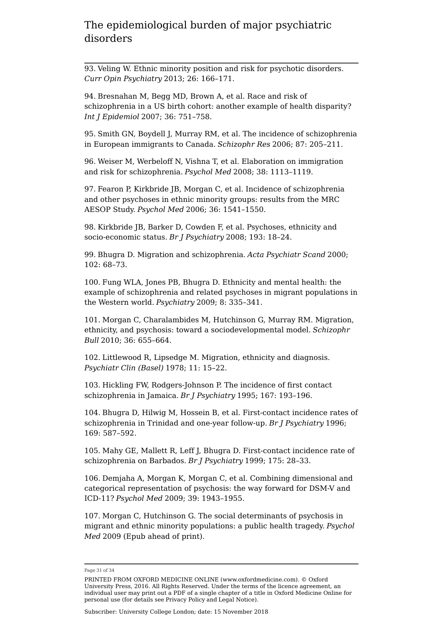93. Veling W. Ethnic minority position and risk for psychotic disorders. *Curr Opin Psychiatry* 2013; 26: 166–171.

94. Bresnahan M, Begg MD, Brown A, et al. Race and risk of schizophrenia in a US birth cohort: another example of health disparity? *Int J Epidemiol* 2007; 36: 751–758.

95. Smith GN, Boydell J, Murray RM, et al. The incidence of schizophrenia in European immigrants to Canada. *Schizophr Res* 2006; 87: 205–211.

96. Weiser M, Werbeloff N, Vishna T, et al. Elaboration on immigration and risk for schizophrenia. *Psychol Med* 2008; 38: 1113–1119.

97. Fearon P, Kirkbride JB, Morgan C, et al. Incidence of schizophrenia and other psychoses in ethnic minority groups: results from the MRC AESOP Study. *Psychol Med* 2006; 36: 1541–1550.

98. Kirkbride JB, Barker D, Cowden F, et al. Psychoses, ethnicity and socio-economic status. *Br J Psychiatry* 2008; 193: 18–24.

99. Bhugra D. Migration and schizophrenia. *Acta Psychiatr Scand* 2000; 102: 68–73.

100. Fung WLA, Jones PB, Bhugra D. Ethnicity and mental health: the example of schizophrenia and related psychoses in migrant populations in the Western world. *Psychiatry* 2009; 8: 335–341.

101. Morgan C, Charalambides M, Hutchinson G, Murray RM. Migration, ethnicity, and psychosis: toward a sociodevelopmental model. *Schizophr Bull* 2010; 36: 655–664.

102. Littlewood R, Lipsedge M. Migration, ethnicity and diagnosis. *Psychiatr Clin (Basel)* 1978; 11: 15–22.

103. Hickling FW, Rodgers-Johnson P. The incidence of first contact schizophrenia in Jamaica. *Br J Psychiatry* 1995; 167: 193–196.

104. Bhugra D, Hilwig M, Hossein B, et al. First-contact incidence rates of schizophrenia in Trinidad and one-year follow-up. *Br J Psychiatry* 1996; 169: 587–592.

105. Mahy GE, Mallett R, Leff J, Bhugra D. First-contact incidence rate of schizophrenia on Barbados. *Br J Psychiatry* 1999; 175: 28–33.

106. Demjaha A, Morgan K, Morgan C, et al. Combining dimensional and categorical representation of psychosis: the way forward for DSM-V and ICD-11? *Psychol Med* 2009; 39: 1943–1955.

107. Morgan C, Hutchinson G. The social determinants of psychosis in migrant and ethnic minority populations: a public health tragedy. *Psychol Med* 2009 (Epub ahead of print).

Page 31 of 34

PRINTED FROM OXFORD MEDICINE ONLINE (www.oxfordmedicine.com). © Oxford University Press, 2016. All Rights Reserved. Under the terms of the licence agreement, an individual user may print out a PDF of a single chapter of a title in Oxford Medicine Online for personal use (for details see Privacy Policy and Legal Notice).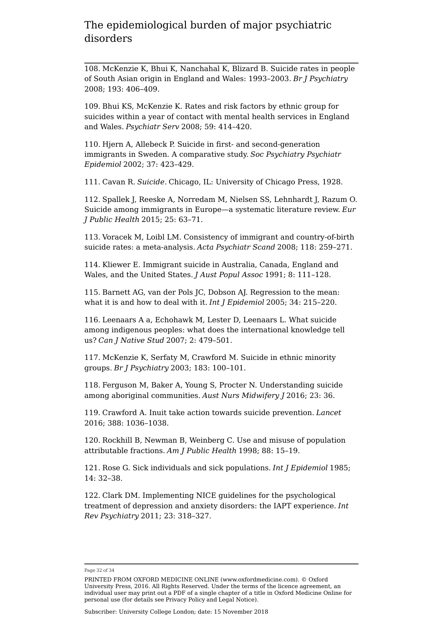108. McKenzie K, Bhui K, Nanchahal K, Blizard B. Suicide rates in people of South Asian origin in England and Wales: 1993–2003. *Br J Psychiatry* 2008; 193: 406–409.

109. Bhui KS, McKenzie K. Rates and risk factors by ethnic group for suicides within a year of contact with mental health services in England and Wales. *Psychiatr Serv* 2008; 59: 414–420.

110. Hjern A, Allebeck P. Suicide in first- and second-generation immigrants in Sweden. A comparative study. *Soc Psychiatry Psychiatr Epidemiol* 2002; 37: 423–429.

111. Cavan R. *Suicide.* Chicago, IL: University of Chicago Press, 1928.

112. Spallek J, Reeske A, Norredam M, Nielsen SS, Lehnhardt J, Razum O. Suicide among immigrants in Europe—a systematic literature review. *Eur J Public Health* 2015; 25: 63–71.

113. Voracek M, Loibl LM. Consistency of immigrant and country-of-birth suicide rates: a meta-analysis. *Acta Psychiatr Scand* 2008; 118: 259–271.

114. Kliewer E. Immigrant suicide in Australia, Canada, England and Wales, and the United States. *J Aust Popul Assoc* 1991; 8: 111–128.

115. Barnett AG, van der Pols JC, Dobson AJ. Regression to the mean: what it is and how to deal with it. *Int J Epidemiol* 2005; 34: 215–220.

116. Leenaars A a, Echohawk M, Lester D, Leenaars L. What suicide among indigenous peoples: what does the international knowledge tell us? *Can J Native Stud* 2007; 2: 479–501.

117. McKenzie K, Serfaty M, Crawford M. Suicide in ethnic minority groups. *Br J Psychiatry* 2003; 183: 100–101.

118. Ferguson M, Baker A, Young S, Procter N. Understanding suicide among aboriginal communities. *Aust Nurs Midwifery J* 2016; 23: 36.

119. Crawford A. Inuit take action towards suicide prevention. *Lancet* 2016; 388: 1036–1038.

120. Rockhill B, Newman B, Weinberg C. Use and misuse of population attributable fractions. *Am J Public Health* 1998; 88: 15–19.

121. Rose G. Sick individuals and sick populations. *Int J Epidemiol* 1985; 14: 32–38.

122. Clark DM. Implementing NICE guidelines for the psychological treatment of depression and anxiety disorders: the IAPT experience. *Int Rev Psychiatry* 2011; 23: 318–327.

Page 32 of 34

PRINTED FROM OXFORD MEDICINE ONLINE (www.oxfordmedicine.com). © Oxford University Press, 2016. All Rights Reserved. Under the terms of the licence agreement, an individual user may print out a PDF of a single chapter of a title in Oxford Medicine Online for personal use (for details see Privacy Policy and Legal Notice).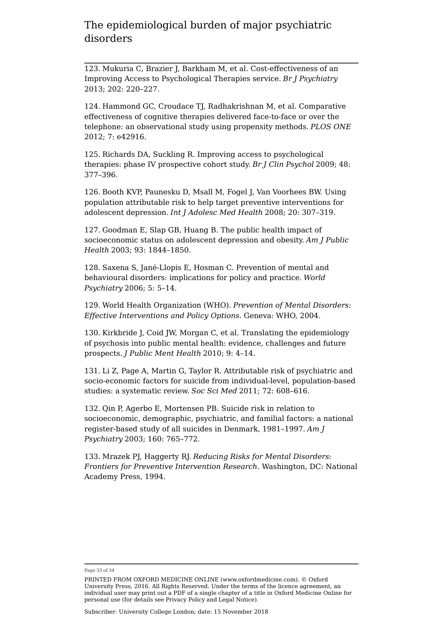123. Mukuria C, Brazier J, Barkham M, et al. Cost-effectiveness of an Improving Access to Psychological Therapies service. *Br J Psychiatry* 2013; 202: 220–227.

124. Hammond GC, Croudace TJ, Radhakrishnan M, et al. Comparative effectiveness of cognitive therapies delivered face-to-face or over the telephone: an observational study using propensity methods. *PLOS ONE* 2012; 7: e42916.

125. Richards DA, Suckling R. Improving access to psychological therapies: phase IV prospective cohort study. *Br J Clin Psychol* 2009; 48: 377–396.

126. Booth KVP, Paunesku D, Msall M, Fogel J, Van Voorhees BW. Using population attributable risk to help target preventive interventions for adolescent depression. *Int J Adolesc Med Health* 2008; 20: 307–319.

127. Goodman E, Slap GB, Huang B. The public health impact of socioeconomic status on adolescent depression and obesity. *Am J Public Health* 2003; 93: 1844–1850.

128. Saxena S, Jané-Llopis E, Hosman C. Prevention of mental and behavioural disorders: implications for policy and practice. *World Psychiatry* 2006; 5: 5–14.

129. World Health Organization (WHO). *Prevention of Mental Disorders: Effective Interventions and Policy Options*. Geneva: WHO, 2004.

130. Kirkbride J, Coid JW, Morgan C, et al. Translating the epidemiology of psychosis into public mental health: evidence, challenges and future prospects. *J Public Ment Health* 2010; 9: 4–14.

131. Li Z, Page A, Martin G, Taylor R. Attributable risk of psychiatric and socio-economic factors for suicide from individual-level, population-based studies: a systematic review. *Soc Sci Med* 2011; 72: 608–616.

132. Qin P, Agerbo E, Mortensen PB. Suicide risk in relation to socioeconomic, demographic, psychiatric, and familial factors: a national register-based study of all suicides in Denmark, 1981–1997. *Am J Psychiatry* 2003; 160: 765–772.

133. Mrazek PJ, Haggerty RJ. *Reducing Risks for Mental Disorders: Frontiers for Preventive Intervention Research*. Washington, DC: National Academy Press, 1994.

#### Page 33 of 34

PRINTED FROM OXFORD MEDICINE ONLINE (www.oxfordmedicine.com). © Oxford University Press, 2016. All Rights Reserved. Under the terms of the licence agreement, an individual user may print out a PDF of a single chapter of a title in Oxford Medicine Online for personal use (for details see Privacy Policy and Legal Notice).